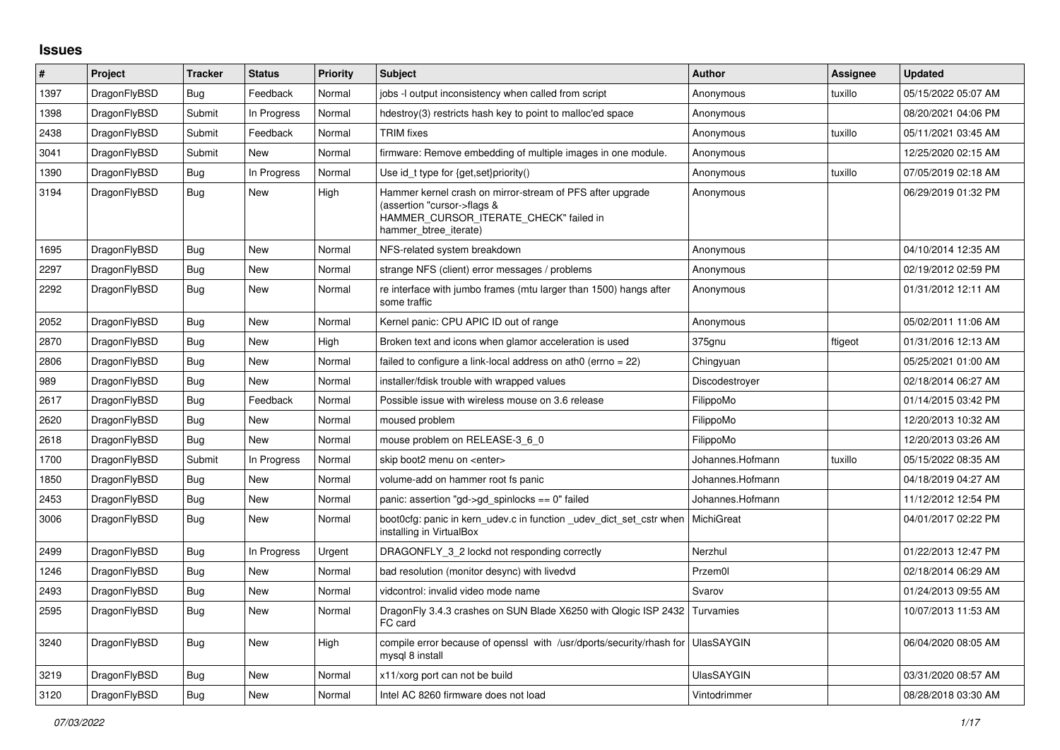## **Issues**

| $\vert$ # | Project      | <b>Tracker</b> | <b>Status</b> | <b>Priority</b> | <b>Subject</b>                                                                                                                                              | Author            | Assignee | <b>Updated</b>      |
|-----------|--------------|----------------|---------------|-----------------|-------------------------------------------------------------------------------------------------------------------------------------------------------------|-------------------|----------|---------------------|
| 1397      | DragonFlyBSD | Bug            | Feedback      | Normal          | jobs -I output inconsistency when called from script                                                                                                        | Anonymous         | tuxillo  | 05/15/2022 05:07 AM |
| 1398      | DragonFlyBSD | Submit         | In Progress   | Normal          | hdestroy(3) restricts hash key to point to malloc'ed space                                                                                                  | Anonymous         |          | 08/20/2021 04:06 PM |
| 2438      | DragonFlyBSD | Submit         | Feedback      | Normal          | <b>TRIM</b> fixes                                                                                                                                           | Anonymous         | tuxillo  | 05/11/2021 03:45 AM |
| 3041      | DragonFlyBSD | Submit         | New           | Normal          | firmware: Remove embedding of multiple images in one module.                                                                                                | Anonymous         |          | 12/25/2020 02:15 AM |
| 1390      | DragonFlyBSD | Bug            | In Progress   | Normal          | Use id_t type for {get, set}priority()                                                                                                                      | Anonymous         | tuxillo  | 07/05/2019 02:18 AM |
| 3194      | DragonFlyBSD | <b>Bug</b>     | New           | High            | Hammer kernel crash on mirror-stream of PFS after upgrade<br>(assertion "cursor->flags &<br>HAMMER_CURSOR_ITERATE_CHECK" failed in<br>hammer btree iterate) | Anonymous         |          | 06/29/2019 01:32 PM |
| 1695      | DragonFlyBSD | Bug            | New           | Normal          | NFS-related system breakdown                                                                                                                                | Anonymous         |          | 04/10/2014 12:35 AM |
| 2297      | DragonFlyBSD | <b>Bug</b>     | New           | Normal          | strange NFS (client) error messages / problems                                                                                                              | Anonymous         |          | 02/19/2012 02:59 PM |
| 2292      | DragonFlyBSD | Bug            | New           | Normal          | re interface with jumbo frames (mtu larger than 1500) hangs after<br>some traffic                                                                           | Anonymous         |          | 01/31/2012 12:11 AM |
| 2052      | DragonFlyBSD | Bug            | New           | Normal          | Kernel panic: CPU APIC ID out of range                                                                                                                      | Anonymous         |          | 05/02/2011 11:06 AM |
| 2870      | DragonFlyBSD | Bug            | New           | High            | Broken text and icons when glamor acceleration is used                                                                                                      | 375gnu            | ftigeot  | 01/31/2016 12:13 AM |
| 2806      | DragonFlyBSD | Bug            | New           | Normal          | failed to configure a link-local address on ath0 (errno = 22)                                                                                               | Chingyuan         |          | 05/25/2021 01:00 AM |
| 989       | DragonFlyBSD | Bug            | New           | Normal          | installer/fdisk trouble with wrapped values                                                                                                                 | Discodestrover    |          | 02/18/2014 06:27 AM |
| 2617      | DragonFlyBSD | <b>Bug</b>     | Feedback      | Normal          | Possible issue with wireless mouse on 3.6 release                                                                                                           | FilippoMo         |          | 01/14/2015 03:42 PM |
| 2620      | DragonFlyBSD | Bug            | New           | Normal          | moused problem                                                                                                                                              | FilippoMo         |          | 12/20/2013 10:32 AM |
| 2618      | DragonFlyBSD | <b>Bug</b>     | <b>New</b>    | Normal          | mouse problem on RELEASE-3_6_0                                                                                                                              | FilippoMo         |          | 12/20/2013 03:26 AM |
| 1700      | DragonFlyBSD | Submit         | In Progress   | Normal          | skip boot2 menu on <enter></enter>                                                                                                                          | Johannes.Hofmann  | tuxillo  | 05/15/2022 08:35 AM |
| 1850      | DragonFlyBSD | <b>Bug</b>     | <b>New</b>    | Normal          | volume-add on hammer root fs panic                                                                                                                          | Johannes.Hofmann  |          | 04/18/2019 04:27 AM |
| 2453      | DragonFlyBSD | Bug            | New           | Normal          | panic: assertion "gd->gd spinlocks == 0" failed                                                                                                             | Johannes.Hofmann  |          | 11/12/2012 12:54 PM |
| 3006      | DragonFlyBSD | <b>Bug</b>     | <b>New</b>    | Normal          | boot0cfg: panic in kern_udev.c in function _udev_dict_set_cstr when<br>installing in VirtualBox                                                             | MichiGreat        |          | 04/01/2017 02:22 PM |
| 2499      | DragonFlyBSD | Bug            | In Progress   | Urgent          | DRAGONFLY 3 2 lockd not responding correctly                                                                                                                | Nerzhul           |          | 01/22/2013 12:47 PM |
| 1246      | DragonFlyBSD | <b>Bug</b>     | <b>New</b>    | Normal          | bad resolution (monitor desync) with livedvd                                                                                                                | Przem0l           |          | 02/18/2014 06:29 AM |
| 2493      | DragonFlyBSD | <b>Bug</b>     | New           | Normal          | vidcontrol: invalid video mode name                                                                                                                         | Svarov            |          | 01/24/2013 09:55 AM |
| 2595      | DragonFlyBSD | Bug            | New           | Normal          | DragonFly 3.4.3 crashes on SUN Blade X6250 with Qlogic ISP 2432<br>FC card                                                                                  | Turvamies         |          | 10/07/2013 11:53 AM |
| 3240      | DragonFlyBSD | Bug            | New           | High            | compile error because of openssl with /usr/dports/security/rhash for  <br>mysql 8 install                                                                   | <b>UlasSAYGIN</b> |          | 06/04/2020 08:05 AM |
| 3219      | DragonFlyBSD | Bug            | New           | Normal          | x11/xorg port can not be build                                                                                                                              | <b>UlasSAYGIN</b> |          | 03/31/2020 08:57 AM |
| 3120      | DragonFlyBSD | Bug            | New           | Normal          | Intel AC 8260 firmware does not load                                                                                                                        | Vintodrimmer      |          | 08/28/2018 03:30 AM |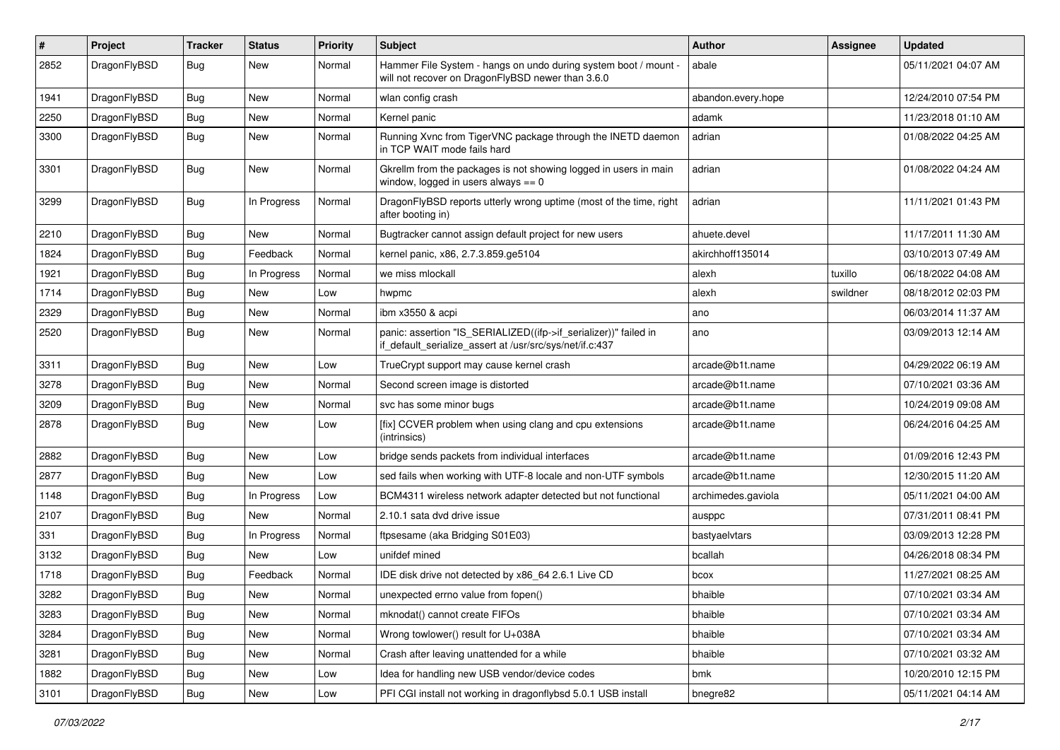| $\#$ | Project      | <b>Tracker</b> | <b>Status</b> | <b>Priority</b> | Subject                                                                                                                      | <b>Author</b>      | <b>Assignee</b> | <b>Updated</b>      |
|------|--------------|----------------|---------------|-----------------|------------------------------------------------------------------------------------------------------------------------------|--------------------|-----------------|---------------------|
| 2852 | DragonFlyBSD | Bug            | New           | Normal          | Hammer File System - hangs on undo during system boot / mount -<br>will not recover on DragonFlyBSD newer than 3.6.0         | abale              |                 | 05/11/2021 04:07 AM |
| 1941 | DragonFlyBSD | <b>Bug</b>     | New           | Normal          | wlan config crash                                                                                                            | abandon.every.hope |                 | 12/24/2010 07:54 PM |
| 2250 | DragonFlyBSD | <b>Bug</b>     | <b>New</b>    | Normal          | Kernel panic                                                                                                                 | adamk              |                 | 11/23/2018 01:10 AM |
| 3300 | DragonFlyBSD | <b>Bug</b>     | New           | Normal          | Running Xvnc from TigerVNC package through the INETD daemon<br>in TCP WAIT mode fails hard                                   | adrian             |                 | 01/08/2022 04:25 AM |
| 3301 | DragonFlyBSD | <b>Bug</b>     | New           | Normal          | Gkrellm from the packages is not showing logged in users in main<br>window, logged in users always $== 0$                    | adrian             |                 | 01/08/2022 04:24 AM |
| 3299 | DragonFlyBSD | <b>Bug</b>     | In Progress   | Normal          | DragonFlyBSD reports utterly wrong uptime (most of the time, right<br>after booting in)                                      | adrian             |                 | 11/11/2021 01:43 PM |
| 2210 | DragonFlyBSD | <b>Bug</b>     | New           | Normal          | Bugtracker cannot assign default project for new users                                                                       | ahuete.devel       |                 | 11/17/2011 11:30 AM |
| 1824 | DragonFlyBSD | <b>Bug</b>     | Feedback      | Normal          | kernel panic, x86, 2.7.3.859.ge5104                                                                                          | akirchhoff135014   |                 | 03/10/2013 07:49 AM |
| 1921 | DragonFlyBSD | <b>Bug</b>     | In Progress   | Normal          | we miss mlockall                                                                                                             | alexh              | tuxillo         | 06/18/2022 04:08 AM |
| 1714 | DragonFlyBSD | <b>Bug</b>     | New           | Low             | hwpmc                                                                                                                        | alexh              | swildner        | 08/18/2012 02:03 PM |
| 2329 | DragonFlyBSD | <b>Bug</b>     | <b>New</b>    | Normal          | ibm x3550 & acpi                                                                                                             | ano                |                 | 06/03/2014 11:37 AM |
| 2520 | DragonFlyBSD | <b>Bug</b>     | <b>New</b>    | Normal          | panic: assertion "IS_SERIALIZED((ifp->if_serializer))" failed in<br>if_default_serialize_assert at /usr/src/sys/net/if.c:437 | ano                |                 | 03/09/2013 12:14 AM |
| 3311 | DragonFlyBSD | <b>Bug</b>     | New           | Low             | TrueCrypt support may cause kernel crash                                                                                     | arcade@b1t.name    |                 | 04/29/2022 06:19 AM |
| 3278 | DragonFlyBSD | <b>Bug</b>     | <b>New</b>    | Normal          | Second screen image is distorted                                                                                             | arcade@b1t.name    |                 | 07/10/2021 03:36 AM |
| 3209 | DragonFlyBSD | <b>Bug</b>     | <b>New</b>    | Normal          | svc has some minor bugs                                                                                                      | arcade@b1t.name    |                 | 10/24/2019 09:08 AM |
| 2878 | DragonFlyBSD | <b>Bug</b>     | New           | Low             | [fix] CCVER problem when using clang and cpu extensions<br>(intrinsics)                                                      | arcade@b1t.name    |                 | 06/24/2016 04:25 AM |
| 2882 | DragonFlyBSD | <b>Bug</b>     | New           | Low             | bridge sends packets from individual interfaces                                                                              | arcade@b1t.name    |                 | 01/09/2016 12:43 PM |
| 2877 | DragonFlyBSD | <b>Bug</b>     | New           | Low             | sed fails when working with UTF-8 locale and non-UTF symbols                                                                 | arcade@b1t.name    |                 | 12/30/2015 11:20 AM |
| 1148 | DragonFlyBSD | <b>Bug</b>     | In Progress   | Low             | BCM4311 wireless network adapter detected but not functional                                                                 | archimedes.gaviola |                 | 05/11/2021 04:00 AM |
| 2107 | DragonFlyBSD | <b>Bug</b>     | New           | Normal          | 2.10.1 sata dvd drive issue                                                                                                  | ausppc             |                 | 07/31/2011 08:41 PM |
| 331  | DragonFlyBSD | <b>Bug</b>     | In Progress   | Normal          | ftpsesame (aka Bridging S01E03)                                                                                              | bastyaelvtars      |                 | 03/09/2013 12:28 PM |
| 3132 | DragonFlyBSD | Bug            | New           | Low             | unifdef mined                                                                                                                | bcallah            |                 | 04/26/2018 08:34 PM |
| 1718 | DragonFlyBSD | Bug            | Feedback      | Normal          | IDE disk drive not detected by x86_64 2.6.1 Live CD                                                                          | bcox               |                 | 11/27/2021 08:25 AM |
| 3282 | DragonFlyBSD | Bug            | <b>New</b>    | Normal          | unexpected errno value from fopen()                                                                                          | bhaible            |                 | 07/10/2021 03:34 AM |
| 3283 | DragonFlyBSD | <b>Bug</b>     | New           | Normal          | mknodat() cannot create FIFOs                                                                                                | bhaible            |                 | 07/10/2021 03:34 AM |
| 3284 | DragonFlyBSD | <b>Bug</b>     | New           | Normal          | Wrong towlower() result for U+038A                                                                                           | bhaible            |                 | 07/10/2021 03:34 AM |
| 3281 | DragonFlyBSD | <b>Bug</b>     | <b>New</b>    | Normal          | Crash after leaving unattended for a while                                                                                   | bhaible            |                 | 07/10/2021 03:32 AM |
| 1882 | DragonFlyBSD | Bug            | <b>New</b>    | Low             | Idea for handling new USB vendor/device codes                                                                                | bmk                |                 | 10/20/2010 12:15 PM |
| 3101 | DragonFlyBSD | <b>Bug</b>     | New           | Low             | PFI CGI install not working in dragonflybsd 5.0.1 USB install                                                                | bnegre82           |                 | 05/11/2021 04:14 AM |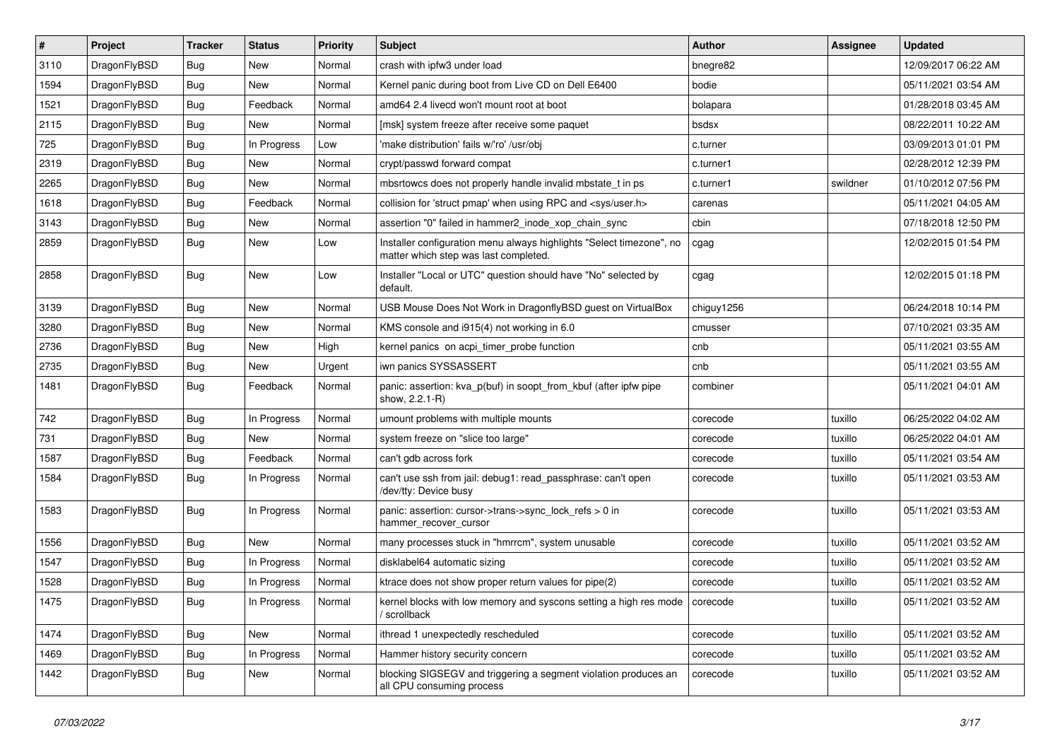| $\sharp$ | Project      | <b>Tracker</b> | <b>Status</b> | <b>Priority</b> | Subject                                                                                                       | <b>Author</b> | Assignee | <b>Updated</b>      |
|----------|--------------|----------------|---------------|-----------------|---------------------------------------------------------------------------------------------------------------|---------------|----------|---------------------|
| 3110     | DragonFlyBSD | Bug            | <b>New</b>    | Normal          | crash with ipfw3 under load                                                                                   | bnegre82      |          | 12/09/2017 06:22 AM |
| 1594     | DragonFlyBSD | Bug            | New           | Normal          | Kernel panic during boot from Live CD on Dell E6400                                                           | bodie         |          | 05/11/2021 03:54 AM |
| 1521     | DragonFlyBSD | Bug            | Feedback      | Normal          | amd64 2.4 livecd won't mount root at boot                                                                     | bolapara      |          | 01/28/2018 03:45 AM |
| 2115     | DragonFlyBSD | Bug            | New           | Normal          | [msk] system freeze after receive some paquet                                                                 | bsdsx         |          | 08/22/2011 10:22 AM |
| 725      | DragonFlyBSD | Bug            | In Progress   | Low             | 'make distribution' fails w/'ro' /usr/obj                                                                     | c.turner      |          | 03/09/2013 01:01 PM |
| 2319     | DragonFlyBSD | Bug            | <b>New</b>    | Normal          | crypt/passwd forward compat                                                                                   | c.turner1     |          | 02/28/2012 12:39 PM |
| 2265     | DragonFlyBSD | Bug            | New           | Normal          | mbsrtowcs does not properly handle invalid mbstate_t in ps                                                    | c.turner1     | swildner | 01/10/2012 07:56 PM |
| 1618     | DragonFlyBSD | Bug            | Feedback      | Normal          | collision for 'struct pmap' when using RPC and <sys user.h=""></sys>                                          | carenas       |          | 05/11/2021 04:05 AM |
| 3143     | DragonFlyBSD | Bug            | <b>New</b>    | Normal          | assertion "0" failed in hammer2 inode xop chain sync                                                          | cbin          |          | 07/18/2018 12:50 PM |
| 2859     | DragonFlyBSD | Bug            | New           | Low             | Installer configuration menu always highlights "Select timezone", no<br>matter which step was last completed. | cgag          |          | 12/02/2015 01:54 PM |
| 2858     | DragonFlyBSD | Bug            | New           | Low             | Installer "Local or UTC" question should have "No" selected by<br>default.                                    | cgag          |          | 12/02/2015 01:18 PM |
| 3139     | DragonFlyBSD | Bug            | New           | Normal          | USB Mouse Does Not Work in DragonflyBSD guest on VirtualBox                                                   | chiguy1256    |          | 06/24/2018 10:14 PM |
| 3280     | DragonFlyBSD | <b>Bug</b>     | New           | Normal          | KMS console and i915(4) not working in 6.0                                                                    | cmusser       |          | 07/10/2021 03:35 AM |
| 2736     | DragonFlyBSD | <b>Bug</b>     | New           | High            | kernel panics on acpi timer probe function                                                                    | cnb           |          | 05/11/2021 03:55 AM |
| 2735     | DragonFlyBSD | <b>Bug</b>     | New           | Urgent          | iwn panics SYSSASSERT                                                                                         | cnb           |          | 05/11/2021 03:55 AM |
| 1481     | DragonFlyBSD | Bug            | Feedback      | Normal          | panic: assertion: kva_p(buf) in soopt_from_kbuf (after ipfw pipe<br>show, 2.2.1-R)                            | combiner      |          | 05/11/2021 04:01 AM |
| 742      | DragonFlyBSD | Bug            | In Progress   | Normal          | umount problems with multiple mounts                                                                          | corecode      | tuxillo  | 06/25/2022 04:02 AM |
| 731      | DragonFlyBSD | <b>Bug</b>     | New           | Normal          | system freeze on "slice too large"                                                                            | corecode      | tuxillo  | 06/25/2022 04:01 AM |
| 1587     | DragonFlyBSD | <b>Bug</b>     | Feedback      | Normal          | can't gdb across fork                                                                                         | corecode      | tuxillo  | 05/11/2021 03:54 AM |
| 1584     | DragonFlyBSD | Bug            | In Progress   | Normal          | can't use ssh from jail: debug1: read passphrase: can't open<br>/dev/tty: Device busy                         | corecode      | tuxillo  | 05/11/2021 03:53 AM |
| 1583     | DragonFlyBSD | Bug            | In Progress   | Normal          | panic: assertion: cursor->trans->sync_lock_refs > 0 in<br>hammer recover cursor                               | corecode      | tuxillo  | 05/11/2021 03:53 AM |
| 1556     | DragonFlyBSD | <b>Bug</b>     | <b>New</b>    | Normal          | many processes stuck in "hmrrcm", system unusable                                                             | corecode      | tuxillo  | 05/11/2021 03:52 AM |
| 1547     | DragonFlyBSD | <b>Bug</b>     | In Progress   | Normal          | disklabel64 automatic sizing                                                                                  | corecode      | tuxillo  | 05/11/2021 03:52 AM |
| 1528     | DragonFlyBSD | <b>Bug</b>     | In Progress   | Normal          | ktrace does not show proper return values for pipe(2)                                                         | corecode      | tuxillo  | 05/11/2021 03:52 AM |
| 1475     | DragonFlyBSD | <b>Bug</b>     | In Progress   | Normal          | kernel blocks with low memory and syscons setting a high res mode   corecode<br>/ scrollback                  |               | tuxillo  | 05/11/2021 03:52 AM |
| 1474     | DragonFlyBSD | <b>Bug</b>     | New           | Normal          | ithread 1 unexpectedly rescheduled                                                                            | corecode      | tuxillo  | 05/11/2021 03:52 AM |
| 1469     | DragonFlyBSD | <b>Bug</b>     | In Progress   | Normal          | Hammer history security concern                                                                               | corecode      | tuxillo  | 05/11/2021 03:52 AM |
| 1442     | DragonFlyBSD | Bug            | New           | Normal          | blocking SIGSEGV and triggering a segment violation produces an<br>all CPU consuming process                  | corecode      | tuxillo  | 05/11/2021 03:52 AM |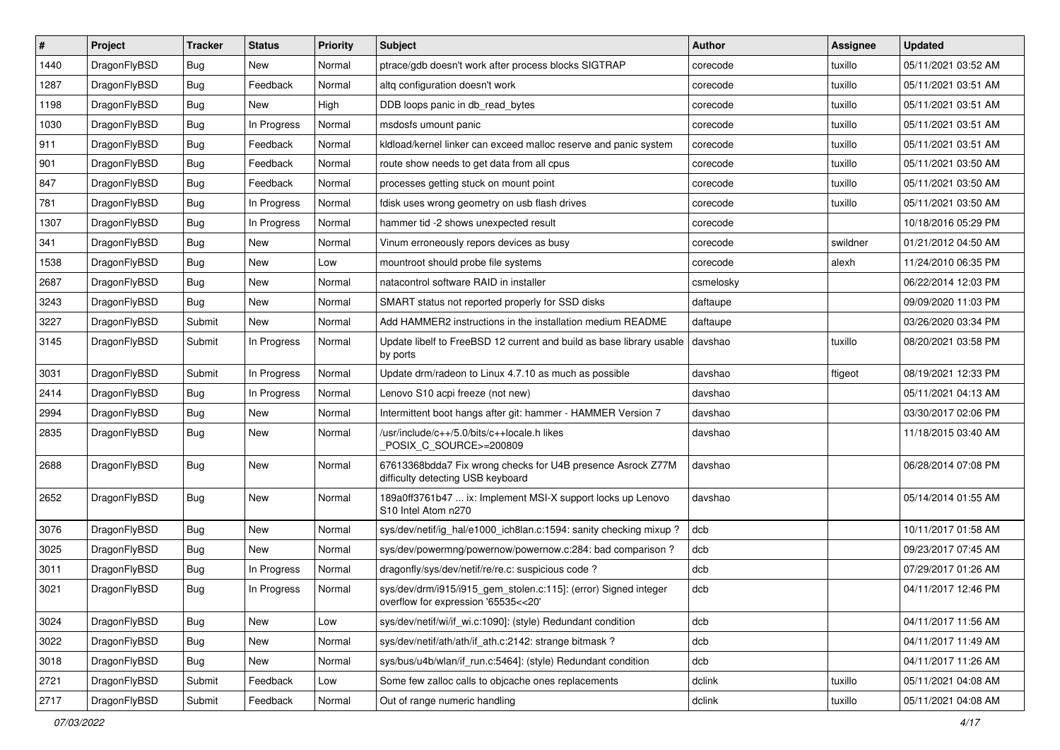| $\vert$ # | Project      | <b>Tracker</b> | <b>Status</b> | <b>Priority</b> | Subject                                                                                                | <b>Author</b> | Assignee | <b>Updated</b>      |
|-----------|--------------|----------------|---------------|-----------------|--------------------------------------------------------------------------------------------------------|---------------|----------|---------------------|
| 1440      | DragonFlyBSD | <b>Bug</b>     | New           | Normal          | ptrace/gdb doesn't work after process blocks SIGTRAP                                                   | corecode      | tuxillo  | 05/11/2021 03:52 AM |
| 1287      | DragonFlyBSD | <b>Bug</b>     | Feedback      | Normal          | altg configuration doesn't work                                                                        | corecode      | tuxillo  | 05/11/2021 03:51 AM |
| 1198      | DragonFlyBSD | <b>Bug</b>     | New           | High            | DDB loops panic in db read bytes                                                                       | corecode      | tuxillo  | 05/11/2021 03:51 AM |
| 1030      | DragonFlyBSD | <b>Bug</b>     | In Progress   | Normal          | msdosfs umount panic                                                                                   | corecode      | tuxillo  | 05/11/2021 03:51 AM |
| 911       | DragonFlyBSD | <b>Bug</b>     | Feedback      | Normal          | kidload/kernel linker can exceed malloc reserve and panic system                                       | corecode      | tuxillo  | 05/11/2021 03:51 AM |
| 901       | DragonFlyBSD | <b>Bug</b>     | Feedback      | Normal          | route show needs to get data from all cpus                                                             | corecode      | tuxillo  | 05/11/2021 03:50 AM |
| 847       | DragonFlyBSD | <b>Bug</b>     | Feedback      | Normal          | processes getting stuck on mount point                                                                 | corecode      | tuxillo  | 05/11/2021 03:50 AM |
| 781       | DragonFlyBSD | <b>Bug</b>     | In Progress   | Normal          | fdisk uses wrong geometry on usb flash drives                                                          | corecode      | tuxillo  | 05/11/2021 03:50 AM |
| 1307      | DragonFlyBSD | <b>Bug</b>     | In Progress   | Normal          | hammer tid -2 shows unexpected result                                                                  | corecode      |          | 10/18/2016 05:29 PM |
| 341       | DragonFlyBSD | Bug            | New           | Normal          | Vinum erroneously repors devices as busy                                                               | corecode      | swildner | 01/21/2012 04:50 AM |
| 1538      | DragonFlyBSD | <b>Bug</b>     | New           | Low             | mountroot should probe file systems                                                                    | corecode      | alexh    | 11/24/2010 06:35 PM |
| 2687      | DragonFlyBSD | Bug            | New           | Normal          | natacontrol software RAID in installer                                                                 | csmelosky     |          | 06/22/2014 12:03 PM |
| 3243      | DragonFlyBSD | Bug            | New           | Normal          | SMART status not reported properly for SSD disks                                                       | daftaupe      |          | 09/09/2020 11:03 PM |
| 3227      | DragonFlyBSD | Submit         | New           | Normal          | Add HAMMER2 instructions in the installation medium README                                             | daftaupe      |          | 03/26/2020 03:34 PM |
| 3145      | DragonFlyBSD | Submit         | In Progress   | Normal          | Update libelf to FreeBSD 12 current and build as base library usable<br>by ports                       | davshao       | tuxillo  | 08/20/2021 03:58 PM |
| 3031      | DragonFlyBSD | Submit         | In Progress   | Normal          | Update drm/radeon to Linux 4.7.10 as much as possible                                                  | davshao       | ftigeot  | 08/19/2021 12:33 PM |
| 2414      | DragonFlyBSD | Bug            | In Progress   | Normal          | Lenovo S10 acpi freeze (not new)                                                                       | davshao       |          | 05/11/2021 04:13 AM |
| 2994      | DragonFlyBSD | Bug            | New           | Normal          | Intermittent boot hangs after git: hammer - HAMMER Version 7                                           | davshao       |          | 03/30/2017 02:06 PM |
| 2835      | DragonFlyBSD | Bug            | New           | Normal          | /usr/include/c++/5.0/bits/c++locale.h likes<br>POSIX_C_SOURCE>=200809                                  | davshao       |          | 11/18/2015 03:40 AM |
| 2688      | DragonFlyBSD | Bug            | New           | Normal          | 67613368bdda7 Fix wrong checks for U4B presence Asrock Z77M<br>difficulty detecting USB keyboard       | davshao       |          | 06/28/2014 07:08 PM |
| 2652      | DragonFlyBSD | Bug            | <b>New</b>    | Normal          | 189a0ff3761b47  ix: Implement MSI-X support locks up Lenovo<br>S10 Intel Atom n270                     | davshao       |          | 05/14/2014 01:55 AM |
| 3076      | DragonFlyBSD | Bug            | New           | Normal          | sys/dev/netif/ig_hal/e1000_ich8lan.c:1594: sanity checking mixup ?                                     | dcb           |          | 10/11/2017 01:58 AM |
| 3025      | DragonFlyBSD | Bug            | New           | Normal          | sys/dev/powermng/powernow/powernow.c:284: bad comparison?                                              | dcb           |          | 09/23/2017 07:45 AM |
| 3011      | DragonFlyBSD | Bug            | In Progress   | Normal          | dragonfly/sys/dev/netif/re/re.c: suspicious code?                                                      | dcb           |          | 07/29/2017 01:26 AM |
| 3021      | DragonFlyBSD | Bug            | In Progress   | Normal          | sys/dev/drm/i915/i915_gem_stolen.c:115]: (error) Signed integer<br>overflow for expression '65535<<20' | dcb           |          | 04/11/2017 12:46 PM |
| 3024      | DragonFlyBSD | <b>Bug</b>     | <b>New</b>    | Low             | sys/dev/netif/wi/if_wi.c:1090]: (style) Redundant condition                                            | dcb           |          | 04/11/2017 11:56 AM |
| 3022      | DragonFlyBSD | <b>Bug</b>     | New           | Normal          | sys/dev/netif/ath/ath/if_ath.c:2142: strange bitmask?                                                  | dcb           |          | 04/11/2017 11:49 AM |
| 3018      | DragonFlyBSD | Bug            | New           | Normal          | sys/bus/u4b/wlan/if_run.c:5464]: (style) Redundant condition                                           | dcb           |          | 04/11/2017 11:26 AM |
| 2721      | DragonFlyBSD | Submit         | Feedback      | Low             | Some few zalloc calls to objcache ones replacements                                                    | dclink        | tuxillo  | 05/11/2021 04:08 AM |
| 2717      | DragonFlyBSD | Submit         | Feedback      | Normal          | Out of range numeric handling                                                                          | dclink        | tuxillo  | 05/11/2021 04:08 AM |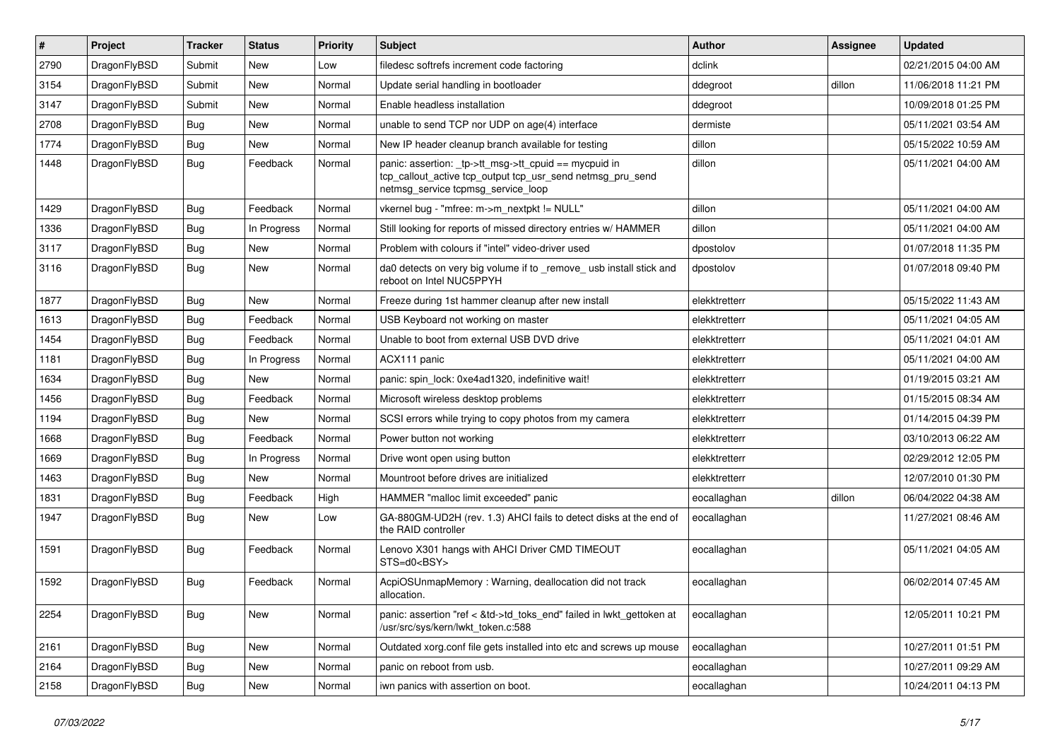| $\vert$ # | Project      | <b>Tracker</b> | <b>Status</b> | <b>Priority</b> | Subject                                                                                                                                                   | <b>Author</b> | Assignee | <b>Updated</b>      |
|-----------|--------------|----------------|---------------|-----------------|-----------------------------------------------------------------------------------------------------------------------------------------------------------|---------------|----------|---------------------|
| 2790      | DragonFlyBSD | Submit         | New           | Low             | filedesc softrefs increment code factoring                                                                                                                | dclink        |          | 02/21/2015 04:00 AM |
| 3154      | DragonFlyBSD | Submit         | New           | Normal          | Update serial handling in bootloader                                                                                                                      | ddegroot      | dillon   | 11/06/2018 11:21 PM |
| 3147      | DragonFlyBSD | Submit         | New           | Normal          | Enable headless installation                                                                                                                              | ddegroot      |          | 10/09/2018 01:25 PM |
| 2708      | DragonFlyBSD | Bug            | New           | Normal          | unable to send TCP nor UDP on age(4) interface                                                                                                            | dermiste      |          | 05/11/2021 03:54 AM |
| 1774      | DragonFlyBSD | <b>Bug</b>     | New           | Normal          | New IP header cleanup branch available for testing                                                                                                        | dillon        |          | 05/15/2022 10:59 AM |
| 1448      | DragonFlyBSD | Bug            | Feedback      | Normal          | panic: assertion: _tp->tt_msg->tt_cpuid == mycpuid in<br>tcp_callout_active tcp_output tcp_usr_send netmsg_pru_send<br>netmsg_service tcpmsg_service_loop | dillon        |          | 05/11/2021 04:00 AM |
| 1429      | DragonFlyBSD | <b>Bug</b>     | Feedback      | Normal          | vkernel bug - "mfree: m->m_nextpkt != NULL"                                                                                                               | dillon        |          | 05/11/2021 04:00 AM |
| 1336      | DragonFlyBSD | Bug            | In Progress   | Normal          | Still looking for reports of missed directory entries w/ HAMMER                                                                                           | dillon        |          | 05/11/2021 04:00 AM |
| 3117      | DragonFlyBSD | Bug            | New           | Normal          | Problem with colours if "intel" video-driver used                                                                                                         | dpostolov     |          | 01/07/2018 11:35 PM |
| 3116      | DragonFlyBSD | Bug            | New           | Normal          | da0 detects on very big volume if to _remove_ usb install stick and<br>reboot on Intel NUC5PPYH                                                           | dpostolov     |          | 01/07/2018 09:40 PM |
| 1877      | DragonFlyBSD | <b>Bug</b>     | New           | Normal          | Freeze during 1st hammer cleanup after new install                                                                                                        | elekktretterr |          | 05/15/2022 11:43 AM |
| 1613      | DragonFlyBSD | <b>Bug</b>     | Feedback      | Normal          | USB Keyboard not working on master                                                                                                                        | elekktretterr |          | 05/11/2021 04:05 AM |
| 1454      | DragonFlyBSD | <b>Bug</b>     | Feedback      | Normal          | Unable to boot from external USB DVD drive                                                                                                                | elekktretterr |          | 05/11/2021 04:01 AM |
| 1181      | DragonFlyBSD | <b>Bug</b>     | In Progress   | Normal          | ACX111 panic                                                                                                                                              | elekktretterr |          | 05/11/2021 04:00 AM |
| 1634      | DragonFlyBSD | <b>Bug</b>     | New           | Normal          | panic: spin_lock: 0xe4ad1320, indefinitive wait!                                                                                                          | elekktretterr |          | 01/19/2015 03:21 AM |
| 1456      | DragonFlyBSD | <b>Bug</b>     | Feedback      | Normal          | Microsoft wireless desktop problems                                                                                                                       | elekktretterr |          | 01/15/2015 08:34 AM |
| 1194      | DragonFlyBSD | <b>Bug</b>     | New           | Normal          | SCSI errors while trying to copy photos from my camera                                                                                                    | elekktretterr |          | 01/14/2015 04:39 PM |
| 1668      | DragonFlyBSD | <b>Bug</b>     | Feedback      | Normal          | Power button not working                                                                                                                                  | elekktretterr |          | 03/10/2013 06:22 AM |
| 1669      | DragonFlyBSD | <b>Bug</b>     | In Progress   | Normal          | Drive wont open using button                                                                                                                              | elekktretterr |          | 02/29/2012 12:05 PM |
| 1463      | DragonFlyBSD | <b>Bug</b>     | New           | Normal          | Mountroot before drives are initialized                                                                                                                   | elekktretterr |          | 12/07/2010 01:30 PM |
| 1831      | DragonFlyBSD | <b>Bug</b>     | Feedback      | High            | HAMMER "malloc limit exceeded" panic                                                                                                                      | eocallaghan   | dillon   | 06/04/2022 04:38 AM |
| 1947      | DragonFlyBSD | Bug            | New           | Low             | GA-880GM-UD2H (rev. 1.3) AHCI fails to detect disks at the end of<br>the RAID controller                                                                  | eocallaghan   |          | 11/27/2021 08:46 AM |
| 1591      | DragonFlyBSD | <b>Bug</b>     | Feedback      | Normal          | Lenovo X301 hangs with AHCI Driver CMD TIMEOUT<br>STS=d0 <bsy></bsy>                                                                                      | eocallaghan   |          | 05/11/2021 04:05 AM |
| 1592      | DragonFlyBSD | <b>Bug</b>     | Feedback      | Normal          | AcpiOSUnmapMemory: Warning, deallocation did not track<br>allocation.                                                                                     | eocallaghan   |          | 06/02/2014 07:45 AM |
| 2254      | DragonFlyBSD | Bug            | New           | Normal          | panic: assertion "ref < &td->td_toks_end" failed in lwkt_gettoken at<br>/usr/src/sys/kern/lwkt_token.c:588                                                | eocallaghan   |          | 12/05/2011 10:21 PM |
| 2161      | DragonFlyBSD | <b>Bug</b>     | New           | Normal          | Outdated xorg.conf file gets installed into etc and screws up mouse                                                                                       | eocallaghan   |          | 10/27/2011 01:51 PM |
| 2164      | DragonFlyBSD | <b>Bug</b>     | New           | Normal          | panic on reboot from usb.                                                                                                                                 | eocallaghan   |          | 10/27/2011 09:29 AM |
| 2158      | DragonFlyBSD | <b>Bug</b>     | New           | Normal          | iwn panics with assertion on boot.                                                                                                                        | eocallaghan   |          | 10/24/2011 04:13 PM |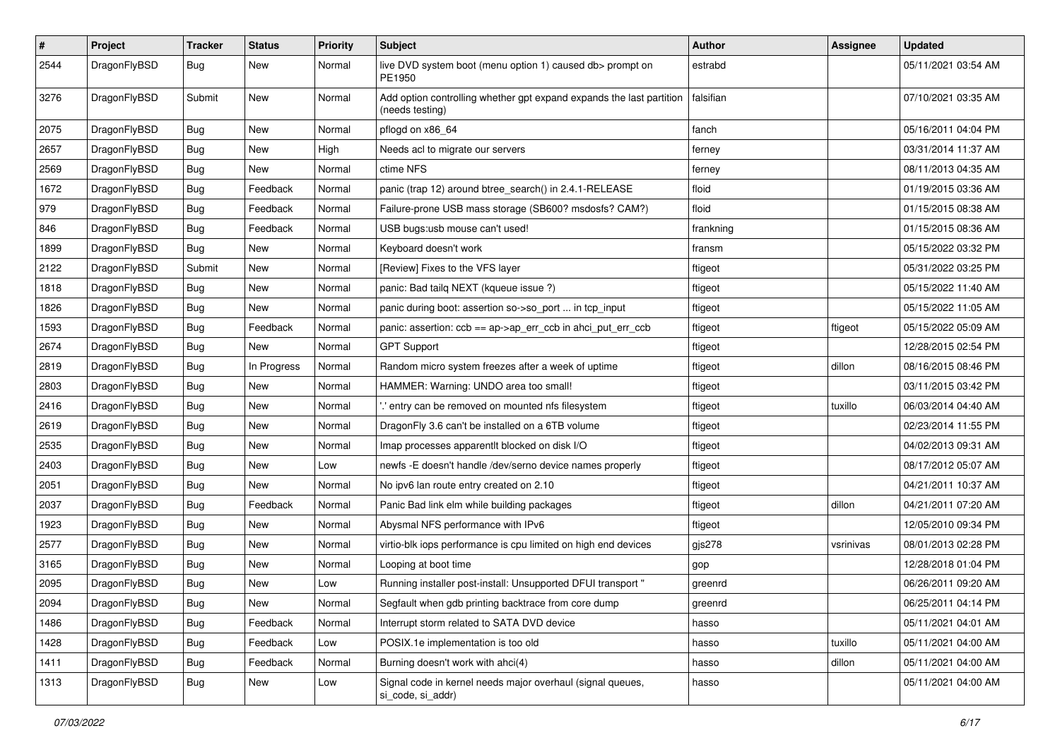| $\pmb{\#}$ | Project      | <b>Tracker</b> | <b>Status</b> | <b>Priority</b> | <b>Subject</b>                                                                          | <b>Author</b> | <b>Assignee</b> | <b>Updated</b>      |
|------------|--------------|----------------|---------------|-----------------|-----------------------------------------------------------------------------------------|---------------|-----------------|---------------------|
| 2544       | DragonFlyBSD | Bug            | New           | Normal          | live DVD system boot (menu option 1) caused db> prompt on<br>PE1950                     | estrabd       |                 | 05/11/2021 03:54 AM |
| 3276       | DragonFlyBSD | Submit         | New           | Normal          | Add option controlling whether gpt expand expands the last partition<br>(needs testing) | falsifian     |                 | 07/10/2021 03:35 AM |
| 2075       | DragonFlyBSD | <b>Bug</b>     | <b>New</b>    | Normal          | pflogd on x86_64                                                                        | fanch         |                 | 05/16/2011 04:04 PM |
| 2657       | DragonFlyBSD | Bug            | New           | High            | Needs acl to migrate our servers                                                        | ferney        |                 | 03/31/2014 11:37 AM |
| 2569       | DragonFlyBSD | Bug            | New           | Normal          | ctime NFS                                                                               | ferney        |                 | 08/11/2013 04:35 AM |
| 1672       | DragonFlyBSD | Bug            | Feedback      | Normal          | panic (trap 12) around btree search() in 2.4.1-RELEASE                                  | floid         |                 | 01/19/2015 03:36 AM |
| 979        | DragonFlyBSD | Bug            | Feedback      | Normal          | Failure-prone USB mass storage (SB600? msdosfs? CAM?)                                   | floid         |                 | 01/15/2015 08:38 AM |
| 846        | DragonFlyBSD | <b>Bug</b>     | Feedback      | Normal          | USB bugs:usb mouse can't used!                                                          | frankning     |                 | 01/15/2015 08:36 AM |
| 1899       | DragonFlyBSD | <b>Bug</b>     | New           | Normal          | Keyboard doesn't work                                                                   | fransm        |                 | 05/15/2022 03:32 PM |
| 2122       | DragonFlyBSD | Submit         | <b>New</b>    | Normal          | [Review] Fixes to the VFS layer                                                         | ftigeot       |                 | 05/31/2022 03:25 PM |
| 1818       | DragonFlyBSD | Bug            | New           | Normal          | panic: Bad tailq NEXT (kqueue issue ?)                                                  | ftigeot       |                 | 05/15/2022 11:40 AM |
| 1826       | DragonFlyBSD | <b>Bug</b>     | <b>New</b>    | Normal          | panic during boot: assertion so->so_port  in tcp_input                                  | ftigeot       |                 | 05/15/2022 11:05 AM |
| 1593       | DragonFlyBSD | Bug            | Feedback      | Normal          | panic: assertion: ccb == ap->ap_err_ccb in ahci_put_err_ccb                             | ftigeot       | ftigeot         | 05/15/2022 05:09 AM |
| 2674       | DragonFlyBSD | Bug            | New           | Normal          | <b>GPT Support</b>                                                                      | ftigeot       |                 | 12/28/2015 02:54 PM |
| 2819       | DragonFlyBSD | <b>Bug</b>     | In Progress   | Normal          | Random micro system freezes after a week of uptime                                      | ftigeot       | dillon          | 08/16/2015 08:46 PM |
| 2803       | DragonFlyBSD | Bug            | <b>New</b>    | Normal          | HAMMER: Warning: UNDO area too small!                                                   | ftigeot       |                 | 03/11/2015 03:42 PM |
| 2416       | DragonFlyBSD | <b>Bug</b>     | New           | Normal          | ".' entry can be removed on mounted nfs filesystem                                      | ftigeot       | tuxillo         | 06/03/2014 04:40 AM |
| 2619       | DragonFlyBSD | Bug            | New           | Normal          | DragonFly 3.6 can't be installed on a 6TB volume                                        | ftigeot       |                 | 02/23/2014 11:55 PM |
| 2535       | DragonFlyBSD | Bug            | New           | Normal          | Imap processes apparentlt blocked on disk I/O                                           | ftigeot       |                 | 04/02/2013 09:31 AM |
| 2403       | DragonFlyBSD | <b>Bug</b>     | New           | Low             | newfs -E doesn't handle /dev/serno device names properly                                | ftigeot       |                 | 08/17/2012 05:07 AM |
| 2051       | DragonFlyBSD | Bug            | <b>New</b>    | Normal          | No ipv6 lan route entry created on 2.10                                                 | ftigeot       |                 | 04/21/2011 10:37 AM |
| 2037       | DragonFlyBSD | <b>Bug</b>     | Feedback      | Normal          | Panic Bad link elm while building packages                                              | ftigeot       | dillon          | 04/21/2011 07:20 AM |
| 1923       | DragonFlyBSD | Bug            | New           | Normal          | Abysmal NFS performance with IPv6                                                       | ftigeot       |                 | 12/05/2010 09:34 PM |
| 2577       | DragonFlyBSD | Bug            | New           | Normal          | virtio-blk iops performance is cpu limited on high end devices                          | gjs278        | vsrinivas       | 08/01/2013 02:28 PM |
| 3165       | DragonFlyBSD | Bug            | <b>New</b>    | Normal          | Looping at boot time                                                                    | gop           |                 | 12/28/2018 01:04 PM |
| 2095       | DragonFlyBSD | Bug            | <b>New</b>    | Low             | Running installer post-install: Unsupported DFUI transport "                            | greenrd       |                 | 06/26/2011 09:20 AM |
| 2094       | DragonFlyBSD | Bug            | New           | Normal          | Segfault when gdb printing backtrace from core dump                                     | greenrd       |                 | 06/25/2011 04:14 PM |
| 1486       | DragonFlyBSD | <b>Bug</b>     | Feedback      | Normal          | Interrupt storm related to SATA DVD device                                              | hasso         |                 | 05/11/2021 04:01 AM |
| 1428       | DragonFlyBSD | <b>Bug</b>     | Feedback      | Low             | POSIX.1e implementation is too old                                                      | hasso         | tuxillo         | 05/11/2021 04:00 AM |
| 1411       | DragonFlyBSD | Bug            | Feedback      | Normal          | Burning doesn't work with ahci(4)                                                       | hasso         | dillon          | 05/11/2021 04:00 AM |
| 1313       | DragonFlyBSD | <b>Bug</b>     | New           | Low             | Signal code in kernel needs major overhaul (signal queues,<br>si_code, si_addr)         | hasso         |                 | 05/11/2021 04:00 AM |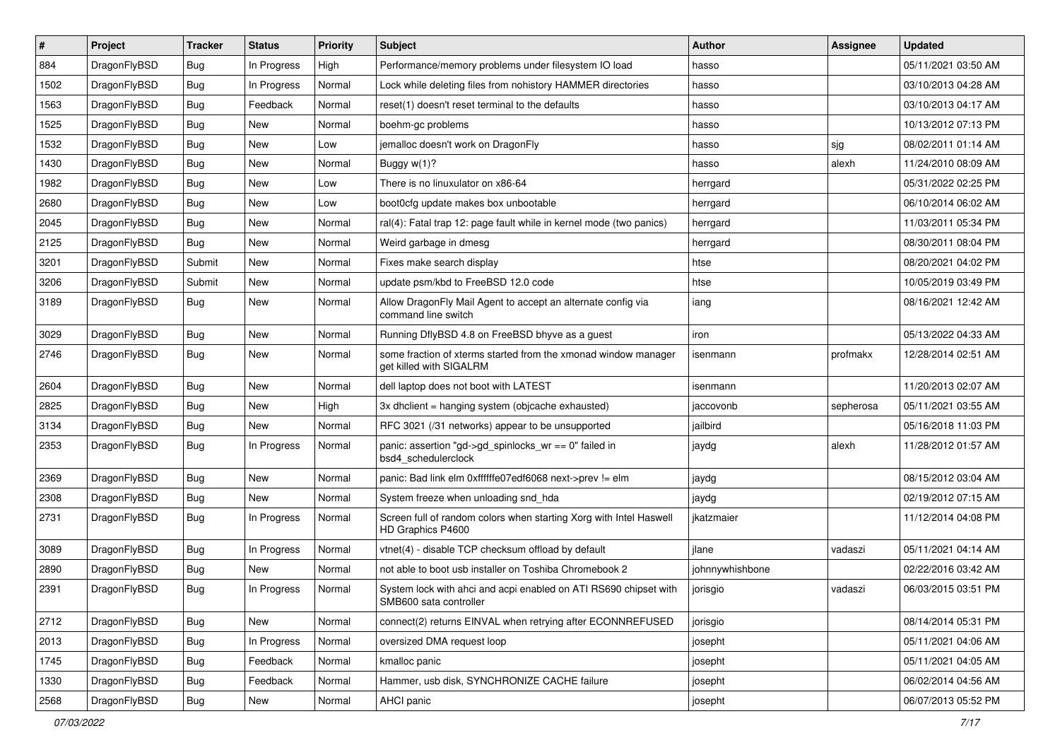| $\#$ | Project      | <b>Tracker</b> | <b>Status</b> | <b>Priority</b> | Subject                                                                                    | <b>Author</b>   | Assignee  | <b>Updated</b>      |
|------|--------------|----------------|---------------|-----------------|--------------------------------------------------------------------------------------------|-----------------|-----------|---------------------|
| 884  | DragonFlyBSD | Bug            | In Progress   | High            | Performance/memory problems under filesystem IO load                                       | hasso           |           | 05/11/2021 03:50 AM |
| 1502 | DragonFlyBSD | Bug            | In Progress   | Normal          | Lock while deleting files from nohistory HAMMER directories                                | hasso           |           | 03/10/2013 04:28 AM |
| 1563 | DragonFlyBSD | <b>Bug</b>     | Feedback      | Normal          | reset(1) doesn't reset terminal to the defaults                                            | hasso           |           | 03/10/2013 04:17 AM |
| 1525 | DragonFlyBSD | <b>Bug</b>     | New           | Normal          | boehm-gc problems                                                                          | hasso           |           | 10/13/2012 07:13 PM |
| 1532 | DragonFlyBSD | Bug            | <b>New</b>    | Low             | jemalloc doesn't work on DragonFly                                                         | hasso           | sjg       | 08/02/2011 01:14 AM |
| 1430 | DragonFlyBSD | <b>Bug</b>     | New           | Normal          | Buggy w(1)?                                                                                | hasso           | alexh     | 11/24/2010 08:09 AM |
| 1982 | DragonFlyBSD | <b>Bug</b>     | New           | Low             | There is no linuxulator on x86-64                                                          | herrgard        |           | 05/31/2022 02:25 PM |
| 2680 | DragonFlyBSD | <b>Bug</b>     | <b>New</b>    | Low             | boot0cfg update makes box unbootable                                                       | herrgard        |           | 06/10/2014 06:02 AM |
| 2045 | DragonFlyBSD | <b>Bug</b>     | New           | Normal          | ral(4): Fatal trap 12: page fault while in kernel mode (two panics)                        | herrgard        |           | 11/03/2011 05:34 PM |
| 2125 | DragonFlyBSD | Bug            | <b>New</b>    | Normal          | Weird garbage in dmesg                                                                     | herrgard        |           | 08/30/2011 08:04 PM |
| 3201 | DragonFlyBSD | Submit         | New           | Normal          | Fixes make search display                                                                  | htse            |           | 08/20/2021 04:02 PM |
| 3206 | DragonFlyBSD | Submit         | New           | Normal          | update psm/kbd to FreeBSD 12.0 code                                                        | htse            |           | 10/05/2019 03:49 PM |
| 3189 | DragonFlyBSD | Bug            | New           | Normal          | Allow DragonFly Mail Agent to accept an alternate config via<br>command line switch        | iang            |           | 08/16/2021 12:42 AM |
| 3029 | DragonFlyBSD | Bug            | New           | Normal          | Running DflyBSD 4.8 on FreeBSD bhyve as a guest                                            | iron            |           | 05/13/2022 04:33 AM |
| 2746 | DragonFlyBSD | <b>Bug</b>     | <b>New</b>    | Normal          | some fraction of xterms started from the xmonad window manager<br>get killed with SIGALRM  | isenmann        | profmakx  | 12/28/2014 02:51 AM |
| 2604 | DragonFlyBSD | Bug            | <b>New</b>    | Normal          | dell laptop does not boot with LATEST                                                      | isenmann        |           | 11/20/2013 02:07 AM |
| 2825 | DragonFlyBSD | <b>Bug</b>     | New           | High            | 3x dhclient = hanging system (objcache exhausted)                                          | jaccovonb       | sepherosa | 05/11/2021 03:55 AM |
| 3134 | DragonFlyBSD | <b>Bug</b>     | New           | Normal          | RFC 3021 (/31 networks) appear to be unsupported                                           | jailbird        |           | 05/16/2018 11:03 PM |
| 2353 | DragonFlyBSD | <b>Bug</b>     | In Progress   | Normal          | panic: assertion "gd->gd_spinlocks_wr == 0" failed in<br>bsd4_schedulerclock               | jaydg           | alexh     | 11/28/2012 01:57 AM |
| 2369 | DragonFlyBSD | Bug            | New           | Normal          | panic: Bad link elm 0xffffffe07edf6068 next->prev != elm                                   | jaydg           |           | 08/15/2012 03:04 AM |
| 2308 | DragonFlyBSD | <b>Bug</b>     | New           | Normal          | System freeze when unloading snd_hda                                                       | jaydg           |           | 02/19/2012 07:15 AM |
| 2731 | DragonFlyBSD | <b>Bug</b>     | In Progress   | Normal          | Screen full of random colors when starting Xorg with Intel Haswell<br>HD Graphics P4600    | jkatzmaier      |           | 11/12/2014 04:08 PM |
| 3089 | DragonFlyBSD | <b>Bug</b>     | In Progress   | Normal          | vtnet(4) - disable TCP checksum offload by default                                         | jlane           | vadaszi   | 05/11/2021 04:14 AM |
| 2890 | DragonFlyBSD | <b>Bug</b>     | New           | Normal          | not able to boot usb installer on Toshiba Chromebook 2                                     | johnnywhishbone |           | 02/22/2016 03:42 AM |
| 2391 | DragonFlyBSD | <b>Bug</b>     | In Progress   | Normal          | System lock with ahci and acpi enabled on ATI RS690 chipset with<br>SMB600 sata controller | jorisgio        | vadaszi   | 06/03/2015 03:51 PM |
| 2712 | DragonFlyBSD | Bug            | New           | Normal          | connect(2) returns EINVAL when retrying after ECONNREFUSED                                 | jorisgio        |           | 08/14/2014 05:31 PM |
| 2013 | DragonFlyBSD | <b>Bug</b>     | In Progress   | Normal          | oversized DMA request loop                                                                 | josepht         |           | 05/11/2021 04:06 AM |
| 1745 | DragonFlyBSD | <b>Bug</b>     | Feedback      | Normal          | kmalloc panic                                                                              | josepht         |           | 05/11/2021 04:05 AM |
| 1330 | DragonFlyBSD | <b>Bug</b>     | Feedback      | Normal          | Hammer, usb disk, SYNCHRONIZE CACHE failure                                                | josepht         |           | 06/02/2014 04:56 AM |
| 2568 | DragonFlyBSD | <b>Bug</b>     | New           | Normal          | AHCI panic                                                                                 | josepht         |           | 06/07/2013 05:52 PM |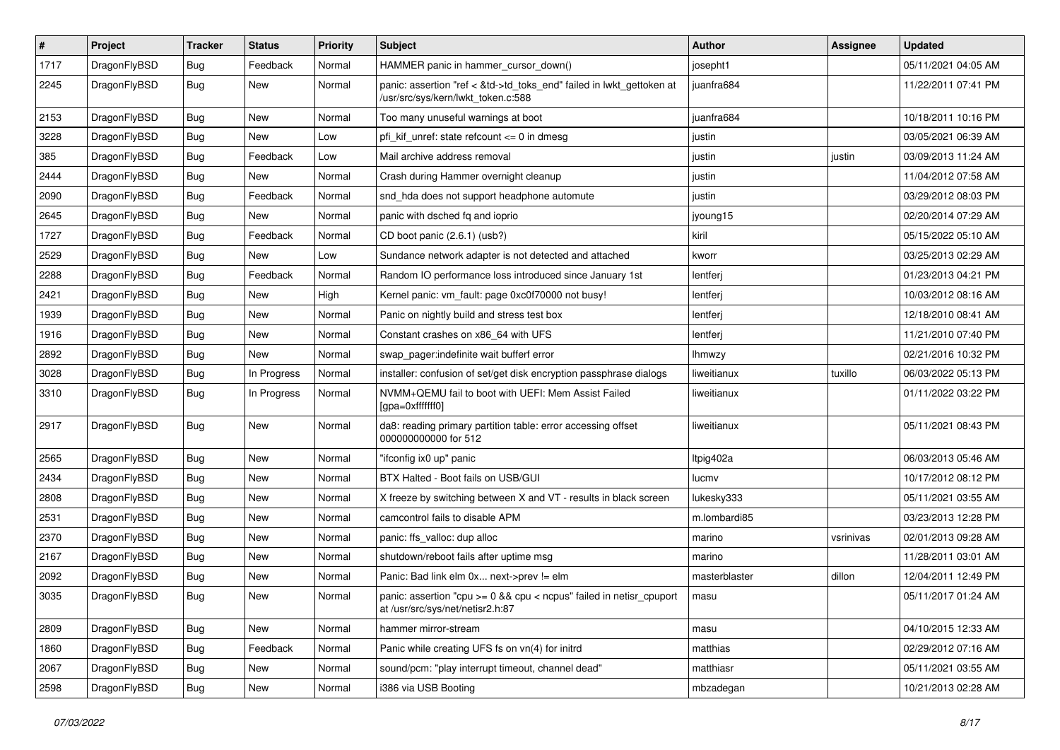| $\sharp$ | Project      | <b>Tracker</b> | <b>Status</b> | <b>Priority</b> | Subject                                                                                                    | <b>Author</b> | Assignee  | <b>Updated</b>      |
|----------|--------------|----------------|---------------|-----------------|------------------------------------------------------------------------------------------------------------|---------------|-----------|---------------------|
| 1717     | DragonFlyBSD | <b>Bug</b>     | Feedback      | Normal          | HAMMER panic in hammer_cursor_down()                                                                       | josepht1      |           | 05/11/2021 04:05 AM |
| 2245     | DragonFlyBSD | <b>Bug</b>     | New           | Normal          | panic: assertion "ref < &td->td_toks_end" failed in lwkt_gettoken at<br>/usr/src/sys/kern/lwkt token.c:588 | juanfra684    |           | 11/22/2011 07:41 PM |
| 2153     | DragonFlyBSD | <b>Bug</b>     | New           | Normal          | Too many unuseful warnings at boot                                                                         | juanfra684    |           | 10/18/2011 10:16 PM |
| 3228     | DragonFlyBSD | <b>Bug</b>     | New           | Low             | pfi kif unref: state refcount $\leq$ 0 in dmesg                                                            | justin        |           | 03/05/2021 06:39 AM |
| 385      | DragonFlyBSD | <b>Bug</b>     | Feedback      | Low             | Mail archive address removal                                                                               | justin        | justin    | 03/09/2013 11:24 AM |
| 2444     | DragonFlyBSD | <b>Bug</b>     | New           | Normal          | Crash during Hammer overnight cleanup                                                                      | justin        |           | 11/04/2012 07:58 AM |
| 2090     | DragonFlyBSD | <b>Bug</b>     | Feedback      | Normal          | snd_hda does not support headphone automute                                                                | justin        |           | 03/29/2012 08:03 PM |
| 2645     | DragonFlyBSD | <b>Bug</b>     | New           | Normal          | panic with dsched fq and ioprio                                                                            | jyoung15      |           | 02/20/2014 07:29 AM |
| 1727     | DragonFlyBSD | <b>Bug</b>     | Feedback      | Normal          | CD boot panic (2.6.1) (usb?)                                                                               | kiril         |           | 05/15/2022 05:10 AM |
| 2529     | DragonFlyBSD | <b>Bug</b>     | New           | Low             | Sundance network adapter is not detected and attached                                                      | kworr         |           | 03/25/2013 02:29 AM |
| 2288     | DragonFlyBSD | <b>Bug</b>     | Feedback      | Normal          | Random IO performance loss introduced since January 1st                                                    | lentferj      |           | 01/23/2013 04:21 PM |
| 2421     | DragonFlyBSD | <b>Bug</b>     | New           | High            | Kernel panic: vm fault: page 0xc0f70000 not busy!                                                          | lentferj      |           | 10/03/2012 08:16 AM |
| 1939     | DragonFlyBSD | <b>Bug</b>     | New           | Normal          | Panic on nightly build and stress test box                                                                 | lentferj      |           | 12/18/2010 08:41 AM |
| 1916     | DragonFlyBSD | <b>Bug</b>     | New           | Normal          | Constant crashes on x86_64 with UFS                                                                        | lentferj      |           | 11/21/2010 07:40 PM |
| 2892     | DragonFlyBSD | <b>Bug</b>     | New           | Normal          | swap_pager:indefinite wait bufferf error                                                                   | lhmwzy        |           | 02/21/2016 10:32 PM |
| 3028     | DragonFlyBSD | <b>Bug</b>     | In Progress   | Normal          | installer: confusion of set/get disk encryption passphrase dialogs                                         | liweitianux   | tuxillo   | 06/03/2022 05:13 PM |
| 3310     | DragonFlyBSD | <b>Bug</b>     | In Progress   | Normal          | NVMM+QEMU fail to boot with UEFI: Mem Assist Failed<br>[gpa=0xfffffff0]                                    | liweitianux   |           | 01/11/2022 03:22 PM |
| 2917     | DragonFlyBSD | Bug            | New           | Normal          | da8: reading primary partition table: error accessing offset<br>000000000000 for 512                       | liweitianux   |           | 05/11/2021 08:43 PM |
| 2565     | DragonFlyBSD | <b>Bug</b>     | New           | Normal          | "ifconfig ix0 up" panic                                                                                    | Itpig402a     |           | 06/03/2013 05:46 AM |
| 2434     | DragonFlyBSD | <b>Bug</b>     | New           | Normal          | BTX Halted - Boot fails on USB/GUI                                                                         | lucmv         |           | 10/17/2012 08:12 PM |
| 2808     | DragonFlyBSD | <b>Bug</b>     | New           | Normal          | X freeze by switching between X and VT - results in black screen                                           | lukesky333    |           | 05/11/2021 03:55 AM |
| 2531     | DragonFlyBSD | <b>Bug</b>     | New           | Normal          | camcontrol fails to disable APM                                                                            | m.lombardi85  |           | 03/23/2013 12:28 PM |
| 2370     | DragonFlyBSD | <b>Bug</b>     | New           | Normal          | panic: ffs_valloc: dup alloc                                                                               | marino        | vsrinivas | 02/01/2013 09:28 AM |
| 2167     | DragonFlyBSD | <b>Bug</b>     | <b>New</b>    | Normal          | shutdown/reboot fails after uptime msg                                                                     | marino        |           | 11/28/2011 03:01 AM |
| 2092     | DragonFlyBSD | <b>Bug</b>     | New           | Normal          | Panic: Bad link elm 0x next->prev != elm                                                                   | masterblaster | dillon    | 12/04/2011 12:49 PM |
| 3035     | DragonFlyBSD | i Bug          | New           | Normal          | panic: assertion "cpu >= 0 && cpu < ncpus" failed in netisr_cpuport<br>at /usr/src/sys/net/netisr2.h:87    | masu          |           | 05/11/2017 01:24 AM |
| 2809     | DragonFlyBSD | <b>Bug</b>     | New           | Normal          | hammer mirror-stream                                                                                       | masu          |           | 04/10/2015 12:33 AM |
| 1860     | DragonFlyBSD | <b>Bug</b>     | Feedback      | Normal          | Panic while creating UFS fs on vn(4) for initrd                                                            | matthias      |           | 02/29/2012 07:16 AM |
| 2067     | DragonFlyBSD | <b>Bug</b>     | <b>New</b>    | Normal          | sound/pcm: "play interrupt timeout, channel dead"                                                          | matthiasr     |           | 05/11/2021 03:55 AM |
| 2598     | DragonFlyBSD | <b>Bug</b>     | New           | Normal          | i386 via USB Booting                                                                                       | mbzadegan     |           | 10/21/2013 02:28 AM |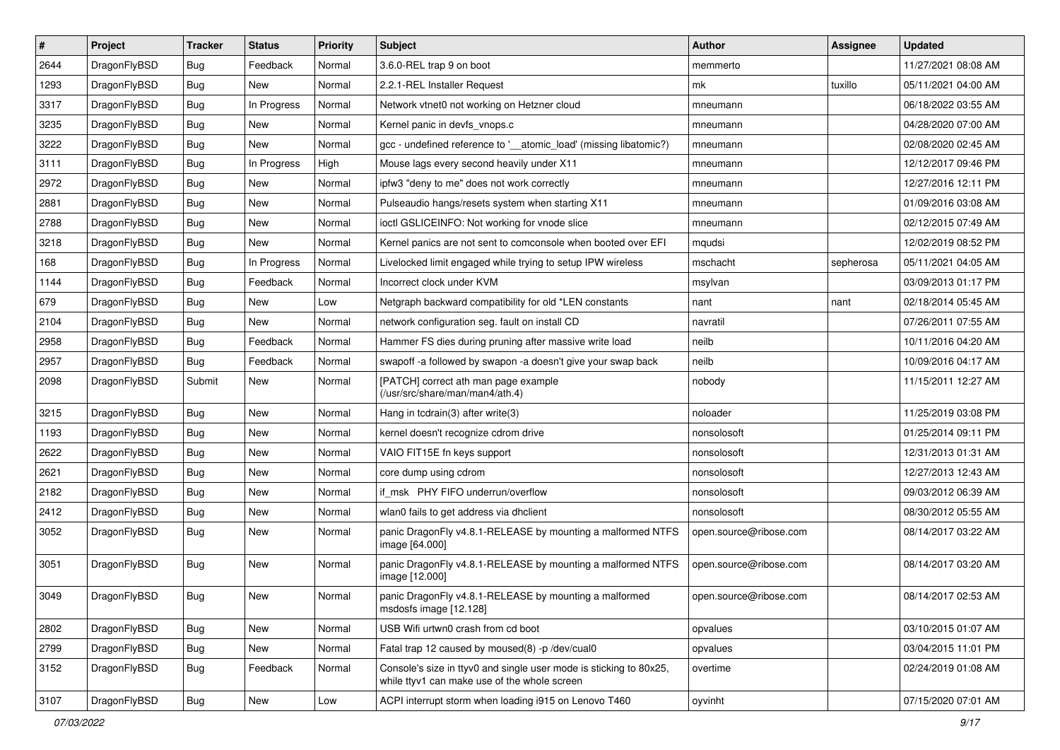| #    | Project      | <b>Tracker</b> | <b>Status</b> | <b>Priority</b> | Subject                                                                                                            | <b>Author</b>          | Assignee  | <b>Updated</b>      |
|------|--------------|----------------|---------------|-----------------|--------------------------------------------------------------------------------------------------------------------|------------------------|-----------|---------------------|
| 2644 | DragonFlyBSD | <b>Bug</b>     | Feedback      | Normal          | 3.6.0-REL trap 9 on boot                                                                                           | memmerto               |           | 11/27/2021 08:08 AM |
| 1293 | DragonFlyBSD | <b>Bug</b>     | <b>New</b>    | Normal          | 2.2.1-REL Installer Request                                                                                        | mk                     | tuxillo   | 05/11/2021 04:00 AM |
| 3317 | DragonFlyBSD | <b>Bug</b>     | In Progress   | Normal          | Network vtnet0 not working on Hetzner cloud                                                                        | mneumann               |           | 06/18/2022 03:55 AM |
| 3235 | DragonFlyBSD | <b>Bug</b>     | New           | Normal          | Kernel panic in devfs_vnops.c                                                                                      | mneumann               |           | 04/28/2020 07:00 AM |
| 3222 | DragonFlyBSD | <b>Bug</b>     | <b>New</b>    | Normal          | gcc - undefined reference to '__atomic_load' (missing libatomic?)                                                  | mneumann               |           | 02/08/2020 02:45 AM |
| 3111 | DragonFlyBSD | <b>Bug</b>     | In Progress   | High            | Mouse lags every second heavily under X11                                                                          | mneumann               |           | 12/12/2017 09:46 PM |
| 2972 | DragonFlyBSD | <b>Bug</b>     | New           | Normal          | ipfw3 "deny to me" does not work correctly                                                                         | mneumann               |           | 12/27/2016 12:11 PM |
| 2881 | DragonFlyBSD | <b>Bug</b>     | <b>New</b>    | Normal          | Pulseaudio hangs/resets system when starting X11                                                                   | mneumann               |           | 01/09/2016 03:08 AM |
| 2788 | DragonFlyBSD | <b>Bug</b>     | New           | Normal          | ioctl GSLICEINFO: Not working for vnode slice                                                                      | mneumann               |           | 02/12/2015 07:49 AM |
| 3218 | DragonFlyBSD | <b>Bug</b>     | New           | Normal          | Kernel panics are not sent to comconsole when booted over EFI                                                      | mqudsi                 |           | 12/02/2019 08:52 PM |
| 168  | DragonFlyBSD | <b>Bug</b>     | In Progress   | Normal          | Livelocked limit engaged while trying to setup IPW wireless                                                        | mschacht               | sepherosa | 05/11/2021 04:05 AM |
| 1144 | DragonFlyBSD | <b>Bug</b>     | Feedback      | Normal          | Incorrect clock under KVM                                                                                          | msylvan                |           | 03/09/2013 01:17 PM |
| 679  | DragonFlyBSD | <b>Bug</b>     | New           | Low             | Netgraph backward compatibility for old *LEN constants                                                             | nant                   | nant      | 02/18/2014 05:45 AM |
| 2104 | DragonFlyBSD | <b>Bug</b>     | New           | Normal          | network configuration seg. fault on install CD                                                                     | navratil               |           | 07/26/2011 07:55 AM |
| 2958 | DragonFlyBSD | <b>Bug</b>     | Feedback      | Normal          | Hammer FS dies during pruning after massive write load                                                             | neilb                  |           | 10/11/2016 04:20 AM |
| 2957 | DragonFlyBSD | <b>Bug</b>     | Feedback      | Normal          | swapoff -a followed by swapon -a doesn't give your swap back                                                       | neilb                  |           | 10/09/2016 04:17 AM |
| 2098 | DragonFlyBSD | Submit         | New           | Normal          | [PATCH] correct ath man page example<br>(/usr/src/share/man/man4/ath.4)                                            | nobody                 |           | 11/15/2011 12:27 AM |
| 3215 | DragonFlyBSD | Bug            | New           | Normal          | Hang in tcdrain(3) after write(3)                                                                                  | noloader               |           | 11/25/2019 03:08 PM |
| 1193 | DragonFlyBSD | Bug            | New           | Normal          | kernel doesn't recognize cdrom drive                                                                               | nonsolosoft            |           | 01/25/2014 09:11 PM |
| 2622 | DragonFlyBSD | Bug            | New           | Normal          | VAIO FIT15E fn keys support                                                                                        | nonsolosoft            |           | 12/31/2013 01:31 AM |
| 2621 | DragonFlyBSD | Bug            | <b>New</b>    | Normal          | core dump using cdrom                                                                                              | nonsolosoft            |           | 12/27/2013 12:43 AM |
| 2182 | DragonFlyBSD | Bug            | New           | Normal          | if_msk PHY FIFO underrun/overflow                                                                                  | nonsolosoft            |           | 09/03/2012 06:39 AM |
| 2412 | DragonFlyBSD | Bug            | New           | Normal          | wlan0 fails to get address via dhclient                                                                            | nonsolosoft            |           | 08/30/2012 05:55 AM |
| 3052 | DragonFlyBSD | Bug            | New           | Normal          | panic DragonFly v4.8.1-RELEASE by mounting a malformed NTFS<br>image [64.000]                                      | open.source@ribose.com |           | 08/14/2017 03:22 AM |
| 3051 | DragonFlyBSD | Bug            | New           | Normal          | panic DragonFly v4.8.1-RELEASE by mounting a malformed NTFS<br>image [12.000]                                      | open.source@ribose.com |           | 08/14/2017 03:20 AM |
| 3049 | DragonFlyBSD | Bug            | New           | Normal          | panic DragonFly v4.8.1-RELEASE by mounting a malformed<br>msdosfs image [12.128]                                   | open.source@ribose.com |           | 08/14/2017 02:53 AM |
| 2802 | DragonFlyBSD | <b>Bug</b>     | New           | Normal          | USB Wifi urtwn0 crash from cd boot                                                                                 | opvalues               |           | 03/10/2015 01:07 AM |
| 2799 | DragonFlyBSD | <b>Bug</b>     | New           | Normal          | Fatal trap 12 caused by moused(8) -p /dev/cual0                                                                    | opvalues               |           | 03/04/2015 11:01 PM |
| 3152 | DragonFlyBSD | <b>Bug</b>     | Feedback      | Normal          | Console's size in ttyv0 and single user mode is sticking to 80x25,<br>while ttyv1 can make use of the whole screen | overtime               |           | 02/24/2019 01:08 AM |
| 3107 | DragonFlyBSD | Bug            | New           | Low             | ACPI interrupt storm when loading i915 on Lenovo T460                                                              | oyvinht                |           | 07/15/2020 07:01 AM |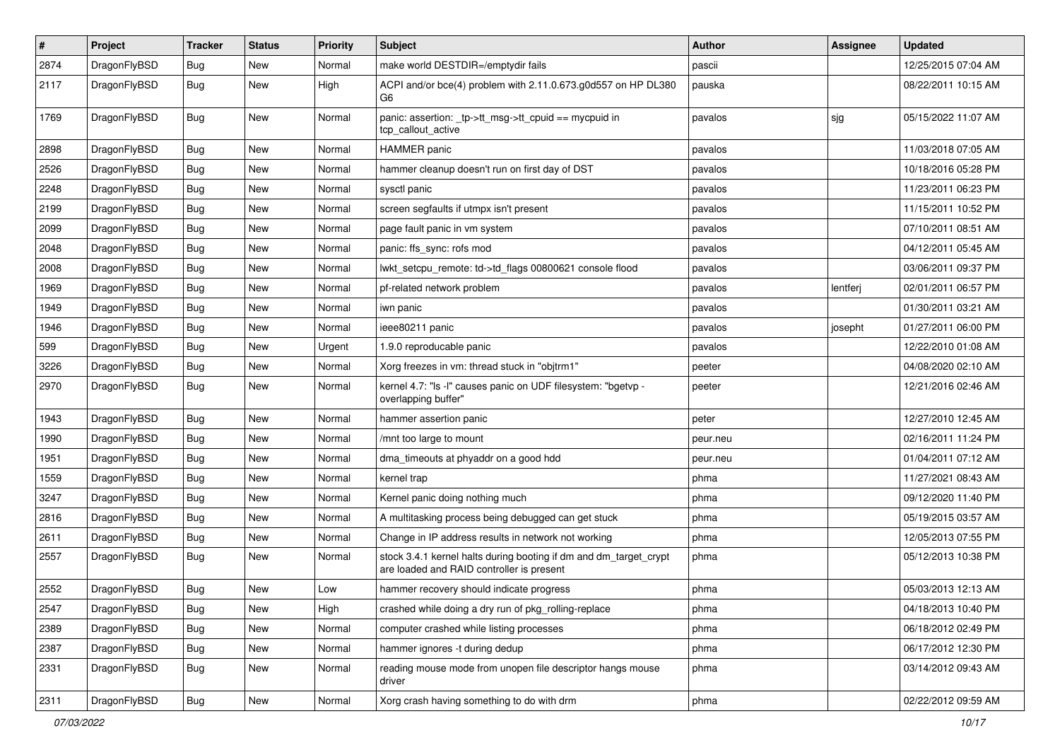| $\pmb{\#}$ | Project      | <b>Tracker</b> | <b>Status</b> | <b>Priority</b> | Subject                                                                                                        | <b>Author</b> | Assignee | <b>Updated</b>      |
|------------|--------------|----------------|---------------|-----------------|----------------------------------------------------------------------------------------------------------------|---------------|----------|---------------------|
| 2874       | DragonFlyBSD | Bug            | New           | Normal          | make world DESTDIR=/emptydir fails                                                                             | pascii        |          | 12/25/2015 07:04 AM |
| 2117       | DragonFlyBSD | Bug            | New           | High            | ACPI and/or bce(4) problem with 2.11.0.673.g0d557 on HP DL380<br>G6                                            | pauska        |          | 08/22/2011 10:15 AM |
| 1769       | DragonFlyBSD | Bug            | <b>New</b>    | Normal          | panic: assertion: _tp->tt_msg->tt_cpuid == mycpuid in<br>tcp callout active                                    | pavalos       | sjg      | 05/15/2022 11:07 AM |
| 2898       | DragonFlyBSD | <b>Bug</b>     | <b>New</b>    | Normal          | <b>HAMMER</b> panic                                                                                            | pavalos       |          | 11/03/2018 07:05 AM |
| 2526       | DragonFlyBSD | Bug            | New           | Normal          | hammer cleanup doesn't run on first day of DST                                                                 | pavalos       |          | 10/18/2016 05:28 PM |
| 2248       | DragonFlyBSD | Bug            | <b>New</b>    | Normal          | sysctl panic                                                                                                   | pavalos       |          | 11/23/2011 06:23 PM |
| 2199       | DragonFlyBSD | Bug            | New           | Normal          | screen segfaults if utmpx isn't present                                                                        | pavalos       |          | 11/15/2011 10:52 PM |
| 2099       | DragonFlyBSD | Bug            | New           | Normal          | page fault panic in vm system                                                                                  | pavalos       |          | 07/10/2011 08:51 AM |
| 2048       | DragonFlyBSD | Bug            | New           | Normal          | panic: ffs_sync: rofs mod                                                                                      | pavalos       |          | 04/12/2011 05:45 AM |
| 2008       | DragonFlyBSD | Bug            | New           | Normal          | lwkt_setcpu_remote: td->td_flags 00800621 console flood                                                        | pavalos       |          | 03/06/2011 09:37 PM |
| 1969       | DragonFlyBSD | <b>Bug</b>     | <b>New</b>    | Normal          | pf-related network problem                                                                                     | pavalos       | lentferj | 02/01/2011 06:57 PM |
| 1949       | DragonFlyBSD | Bug            | <b>New</b>    | Normal          | iwn panic                                                                                                      | pavalos       |          | 01/30/2011 03:21 AM |
| 1946       | DragonFlyBSD | Bug            | <b>New</b>    | Normal          | ieee80211 panic                                                                                                | pavalos       | josepht  | 01/27/2011 06:00 PM |
| 599        | DragonFlyBSD | Bug            | New           | Urgent          | 1.9.0 reproducable panic                                                                                       | pavalos       |          | 12/22/2010 01:08 AM |
| 3226       | DragonFlyBSD | Bug            | New           | Normal          | Xorg freezes in vm: thread stuck in "objtrm1"                                                                  | peeter        |          | 04/08/2020 02:10 AM |
| 2970       | DragonFlyBSD | Bug            | New           | Normal          | kernel 4.7: "Is -I" causes panic on UDF filesystem: "bgetvp -<br>overlapping buffer"                           | peeter        |          | 12/21/2016 02:46 AM |
| 1943       | DragonFlyBSD | Bug            | <b>New</b>    | Normal          | hammer assertion panic                                                                                         | peter         |          | 12/27/2010 12:45 AM |
| 1990       | DragonFlyBSD | Bug            | <b>New</b>    | Normal          | /mnt too large to mount                                                                                        | peur.neu      |          | 02/16/2011 11:24 PM |
| 1951       | DragonFlyBSD | Bug            | New           | Normal          | dma_timeouts at phyaddr on a good hdd                                                                          | peur.neu      |          | 01/04/2011 07:12 AM |
| 1559       | DragonFlyBSD | Bug            | <b>New</b>    | Normal          | kernel trap                                                                                                    | phma          |          | 11/27/2021 08:43 AM |
| 3247       | DragonFlyBSD | Bug            | <b>New</b>    | Normal          | Kernel panic doing nothing much                                                                                | phma          |          | 09/12/2020 11:40 PM |
| 2816       | DragonFlyBSD | <b>Bug</b>     | <b>New</b>    | Normal          | A multitasking process being debugged can get stuck                                                            | phma          |          | 05/19/2015 03:57 AM |
| 2611       | DragonFlyBSD | Bug            | <b>New</b>    | Normal          | Change in IP address results in network not working                                                            | phma          |          | 12/05/2013 07:55 PM |
| 2557       | DragonFlyBSD | Bug            | New           | Normal          | stock 3.4.1 kernel halts during booting if dm and dm_target_crypt<br>are loaded and RAID controller is present | phma          |          | 05/12/2013 10:38 PM |
| 2552       | DragonFlyBSD | Bug            | <b>New</b>    | Low             | hammer recovery should indicate progress                                                                       | phma          |          | 05/03/2013 12:13 AM |
| 2547       | DragonFlyBSD | <b>Bug</b>     | New           | High            | crashed while doing a dry run of pkg_rolling-replace                                                           | phma          |          | 04/18/2013 10:40 PM |
| 2389       | DragonFlyBSD | Bug            | New           | Normal          | computer crashed while listing processes                                                                       | phma          |          | 06/18/2012 02:49 PM |
| 2387       | DragonFlyBSD | <b>Bug</b>     | New           | Normal          | hammer ignores -t during dedup                                                                                 | phma          |          | 06/17/2012 12:30 PM |
| 2331       | DragonFlyBSD | Bug            | New           | Normal          | reading mouse mode from unopen file descriptor hangs mouse<br>driver                                           | phma          |          | 03/14/2012 09:43 AM |
| 2311       | DragonFlyBSD | Bug            | New           | Normal          | Xorg crash having something to do with drm                                                                     | phma          |          | 02/22/2012 09:59 AM |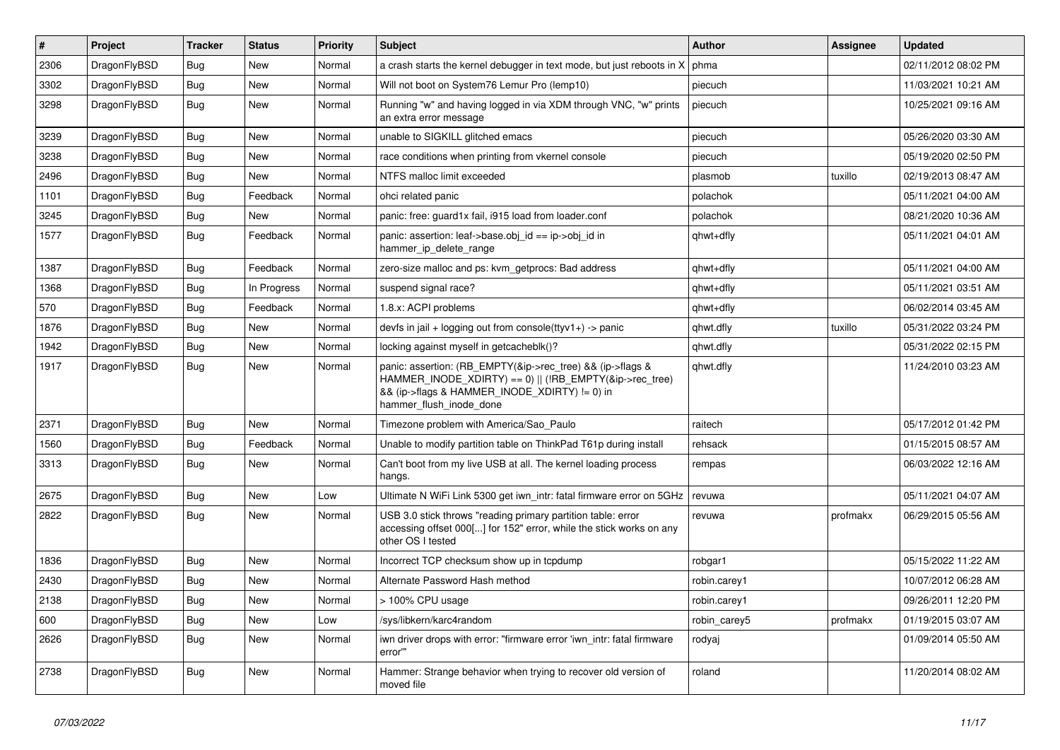| #    | Project      | <b>Tracker</b> | <b>Status</b> | <b>Priority</b> | Subject                                                                                                                                                                                           | <b>Author</b> | Assignee | <b>Updated</b>      |
|------|--------------|----------------|---------------|-----------------|---------------------------------------------------------------------------------------------------------------------------------------------------------------------------------------------------|---------------|----------|---------------------|
| 2306 | DragonFlyBSD | Bug            | New           | Normal          | a crash starts the kernel debugger in text mode, but just reboots in X                                                                                                                            | phma          |          | 02/11/2012 08:02 PM |
| 3302 | DragonFlyBSD | Bug            | New           | Normal          | Will not boot on System76 Lemur Pro (lemp10)                                                                                                                                                      | piecuch       |          | 11/03/2021 10:21 AM |
| 3298 | DragonFlyBSD | <b>Bug</b>     | New           | Normal          | Running "w" and having logged in via XDM through VNC, "w" prints<br>an extra error message                                                                                                        | piecuch       |          | 10/25/2021 09:16 AM |
| 3239 | DragonFlyBSD | Bug            | <b>New</b>    | Normal          | unable to SIGKILL glitched emacs                                                                                                                                                                  | piecuch       |          | 05/26/2020 03:30 AM |
| 3238 | DragonFlyBSD | <b>Bug</b>     | New           | Normal          | race conditions when printing from vkernel console                                                                                                                                                | piecuch       |          | 05/19/2020 02:50 PM |
| 2496 | DragonFlyBSD | <b>Bug</b>     | New           | Normal          | NTFS malloc limit exceeded                                                                                                                                                                        | plasmob       | tuxillo  | 02/19/2013 08:47 AM |
| 1101 | DragonFlyBSD | <b>Bug</b>     | Feedback      | Normal          | ohci related panic                                                                                                                                                                                | polachok      |          | 05/11/2021 04:00 AM |
| 3245 | DragonFlyBSD | <b>Bug</b>     | New           | Normal          | panic: free: guard1x fail, i915 load from loader.conf                                                                                                                                             | polachok      |          | 08/21/2020 10:36 AM |
| 1577 | DragonFlyBSD | Bug            | Feedback      | Normal          | panic: assertion: leaf->base.obj_id == ip->obj_id in<br>hammer_ip_delete_range                                                                                                                    | qhwt+dfly     |          | 05/11/2021 04:01 AM |
| 1387 | DragonFlyBSD | <b>Bug</b>     | Feedback      | Normal          | zero-size malloc and ps: kvm_getprocs: Bad address                                                                                                                                                | qhwt+dfly     |          | 05/11/2021 04:00 AM |
| 1368 | DragonFlyBSD | <b>Bug</b>     | In Progress   | Normal          | suspend signal race?                                                                                                                                                                              | qhwt+dfly     |          | 05/11/2021 03:51 AM |
| 570  | DragonFlyBSD | <b>Bug</b>     | Feedback      | Normal          | 1.8.x: ACPI problems                                                                                                                                                                              | ghwt+dfly     |          | 06/02/2014 03:45 AM |
| 1876 | DragonFlyBSD | <b>Bug</b>     | New           | Normal          | devfs in jail + logging out from console(ttyv1+) -> panic                                                                                                                                         | qhwt.dfly     | tuxillo  | 05/31/2022 03:24 PM |
| 1942 | DragonFlyBSD | <b>Bug</b>     | New           | Normal          | locking against myself in getcacheblk()?                                                                                                                                                          | qhwt.dfly     |          | 05/31/2022 02:15 PM |
| 1917 | DragonFlyBSD | Bug            | New           | Normal          | panic: assertion: (RB_EMPTY(&ip->rec_tree) && (ip->flags &<br>HAMMER INODE XDIRTY) == 0)    (!RB EMPTY(&ip->rec tree)<br>&& (ip->flags & HAMMER_INODE_XDIRTY) != 0) in<br>hammer_flush_inode_done | qhwt.dfly     |          | 11/24/2010 03:23 AM |
| 2371 | DragonFlyBSD | Bug            | New           | Normal          | Timezone problem with America/Sao_Paulo                                                                                                                                                           | raitech       |          | 05/17/2012 01:42 PM |
| 1560 | DragonFlyBSD | <b>Bug</b>     | Feedback      | Normal          | Unable to modify partition table on ThinkPad T61p during install                                                                                                                                  | rehsack       |          | 01/15/2015 08:57 AM |
| 3313 | DragonFlyBSD | <b>Bug</b>     | New           | Normal          | Can't boot from my live USB at all. The kernel loading process<br>hangs.                                                                                                                          | rempas        |          | 06/03/2022 12:16 AM |
| 2675 | DragonFlyBSD | Bug            | <b>New</b>    | Low             | Ultimate N WiFi Link 5300 get iwn_intr: fatal firmware error on 5GHz                                                                                                                              | revuwa        |          | 05/11/2021 04:07 AM |
| 2822 | DragonFlyBSD | Bug            | New           | Normal          | USB 3.0 stick throws "reading primary partition table: error<br>accessing offset 000[] for 152" error, while the stick works on any<br>other OS I tested                                          | revuwa        | profmakx | 06/29/2015 05:56 AM |
| 1836 | DragonFlyBSD | Bug            | New           | Normal          | Incorrect TCP checksum show up in tcpdump                                                                                                                                                         | robgar1       |          | 05/15/2022 11:22 AM |
| 2430 | DragonFlyBSD | <b>Bug</b>     | New           | Normal          | Alternate Password Hash method                                                                                                                                                                    | robin.carey1  |          | 10/07/2012 06:28 AM |
| 2138 | DragonFlyBSD | <b>Bug</b>     | New           | Normal          | > 100% CPU usage                                                                                                                                                                                  | robin.carey1  |          | 09/26/2011 12:20 PM |
| 600  | DragonFlyBSD | Bug            | New           | Low             | /sys/libkern/karc4random                                                                                                                                                                          | robin_carey5  | profmakx | 01/19/2015 03:07 AM |
| 2626 | DragonFlyBSD | <b>Bug</b>     | New           | Normal          | iwn driver drops with error: "firmware error 'iwn_intr: fatal firmware<br>error""                                                                                                                 | rodyaj        |          | 01/09/2014 05:50 AM |
| 2738 | DragonFlyBSD | <b>Bug</b>     | New           | Normal          | Hammer: Strange behavior when trying to recover old version of<br>moved file                                                                                                                      | roland        |          | 11/20/2014 08:02 AM |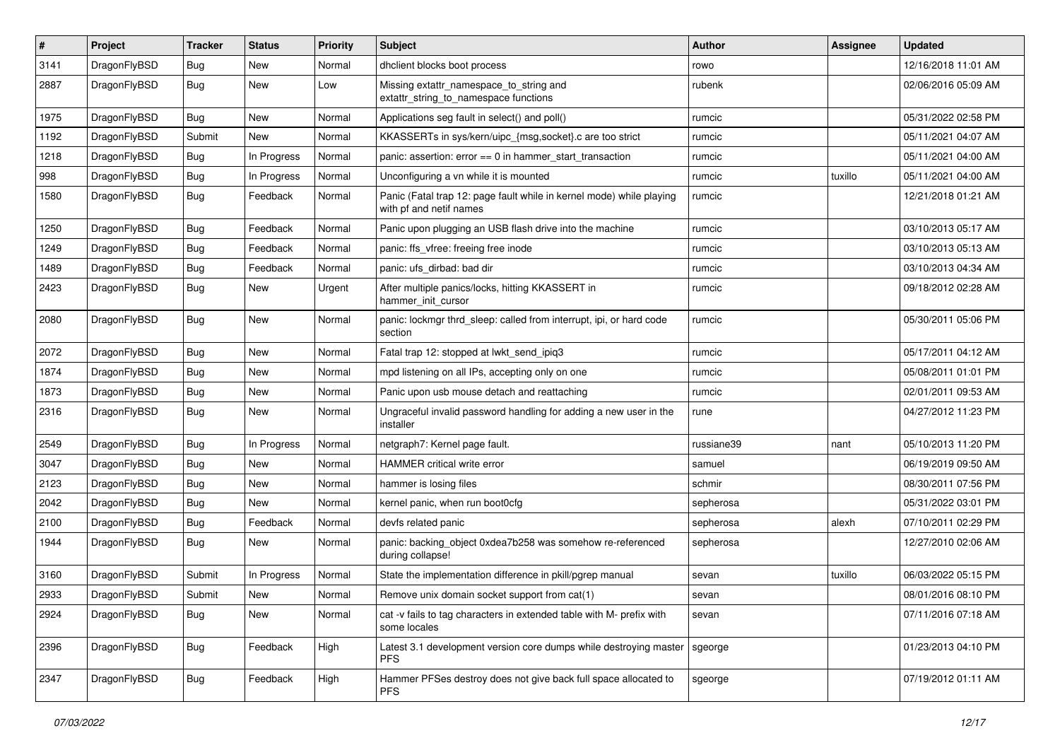| $\sharp$ | Project      | <b>Tracker</b> | <b>Status</b> | <b>Priority</b> | Subject                                                                                         | <b>Author</b> | Assignee | <b>Updated</b>      |
|----------|--------------|----------------|---------------|-----------------|-------------------------------------------------------------------------------------------------|---------------|----------|---------------------|
| 3141     | DragonFlyBSD | <b>Bug</b>     | New           | Normal          | dhclient blocks boot process                                                                    | rowo          |          | 12/16/2018 11:01 AM |
| 2887     | DragonFlyBSD | <b>Bug</b>     | New           | Low             | Missing extattr_namespace_to_string and<br>extattr string to namespace functions                | rubenk        |          | 02/06/2016 05:09 AM |
| 1975     | DragonFlyBSD | Bug            | New           | Normal          | Applications seg fault in select() and poll()                                                   | rumcic        |          | 05/31/2022 02:58 PM |
| 1192     | DragonFlyBSD | Submit         | New           | Normal          | KKASSERTs in sys/kern/uipc_{msg,socket}.c are too strict                                        | rumcic        |          | 05/11/2021 04:07 AM |
| 1218     | DragonFlyBSD | <b>Bug</b>     | In Progress   | Normal          | panic: assertion: $error == 0$ in hammer start transaction                                      | rumcic        |          | 05/11/2021 04:00 AM |
| 998      | DragonFlyBSD | <b>Bug</b>     | In Progress   | Normal          | Unconfiguring a vn while it is mounted                                                          | rumcic        | tuxillo  | 05/11/2021 04:00 AM |
| 1580     | DragonFlyBSD | Bug            | Feedback      | Normal          | Panic (Fatal trap 12: page fault while in kernel mode) while playing<br>with pf and netif names | rumcic        |          | 12/21/2018 01:21 AM |
| 1250     | DragonFlyBSD | Bug            | Feedback      | Normal          | Panic upon plugging an USB flash drive into the machine                                         | rumcic        |          | 03/10/2013 05:17 AM |
| 1249     | DragonFlyBSD | <b>Bug</b>     | Feedback      | Normal          | panic: ffs vfree: freeing free inode                                                            | rumcic        |          | 03/10/2013 05:13 AM |
| 1489     | DragonFlyBSD | <b>Bug</b>     | Feedback      | Normal          | panic: ufs dirbad: bad dir                                                                      | rumcic        |          | 03/10/2013 04:34 AM |
| 2423     | DragonFlyBSD | Bug            | New           | Urgent          | After multiple panics/locks, hitting KKASSERT in<br>hammer init cursor                          | rumcic        |          | 09/18/2012 02:28 AM |
| 2080     | DragonFlyBSD | Bug            | New           | Normal          | panic: lockmgr thrd_sleep: called from interrupt, ipi, or hard code<br>section                  | rumcic        |          | 05/30/2011 05:06 PM |
| 2072     | DragonFlyBSD | Bug            | New           | Normal          | Fatal trap 12: stopped at lwkt_send_ipiq3                                                       | rumcic        |          | 05/17/2011 04:12 AM |
| 1874     | DragonFlyBSD | Bug            | New           | Normal          | mpd listening on all IPs, accepting only on one                                                 | rumcic        |          | 05/08/2011 01:01 PM |
| 1873     | DragonFlyBSD | <b>Bug</b>     | <b>New</b>    | Normal          | Panic upon usb mouse detach and reattaching                                                     | rumcic        |          | 02/01/2011 09:53 AM |
| 2316     | DragonFlyBSD | <b>Bug</b>     | New           | Normal          | Ungraceful invalid password handling for adding a new user in the<br>installer                  | rune          |          | 04/27/2012 11:23 PM |
| 2549     | DragonFlyBSD | Bug            | In Progress   | Normal          | netgraph7: Kernel page fault.                                                                   | russiane39    | nant     | 05/10/2013 11:20 PM |
| 3047     | DragonFlyBSD | <b>Bug</b>     | New           | Normal          | <b>HAMMER</b> critical write error                                                              | samuel        |          | 06/19/2019 09:50 AM |
| 2123     | DragonFlyBSD | <b>Bug</b>     | New           | Normal          | hammer is losing files                                                                          | schmir        |          | 08/30/2011 07:56 PM |
| 2042     | DragonFlyBSD | Bug            | New           | Normal          | kernel panic, when run boot0cfg                                                                 | sepherosa     |          | 05/31/2022 03:01 PM |
| 2100     | DragonFlyBSD | Bug            | Feedback      | Normal          | devfs related panic                                                                             | sepherosa     | alexh    | 07/10/2011 02:29 PM |
| 1944     | DragonFlyBSD | <b>Bug</b>     | New           | Normal          | panic: backing_object 0xdea7b258 was somehow re-referenced<br>during collapse!                  | sepherosa     |          | 12/27/2010 02:06 AM |
| 3160     | DragonFlyBSD | Submit         | In Progress   | Normal          | State the implementation difference in pkill/pgrep manual                                       | sevan         | tuxillo  | 06/03/2022 05:15 PM |
| 2933     | DragonFlyBSD | Submit         | <b>New</b>    | Normal          | Remove unix domain socket support from cat(1)                                                   | sevan         |          | 08/01/2016 08:10 PM |
| 2924     | DragonFlyBSD | <b>Bug</b>     | New           | Normal          | cat -v fails to tag characters in extended table with M- prefix with<br>some locales            | sevan         |          | 07/11/2016 07:18 AM |
| 2396     | DragonFlyBSD | <b>Bug</b>     | Feedback      | High            | Latest 3.1 development version core dumps while destroying master<br>PFS.                       | sgeorge       |          | 01/23/2013 04:10 PM |
| 2347     | DragonFlyBSD | <b>Bug</b>     | Feedback      | High            | Hammer PFSes destroy does not give back full space allocated to<br><b>PFS</b>                   | sgeorge       |          | 07/19/2012 01:11 AM |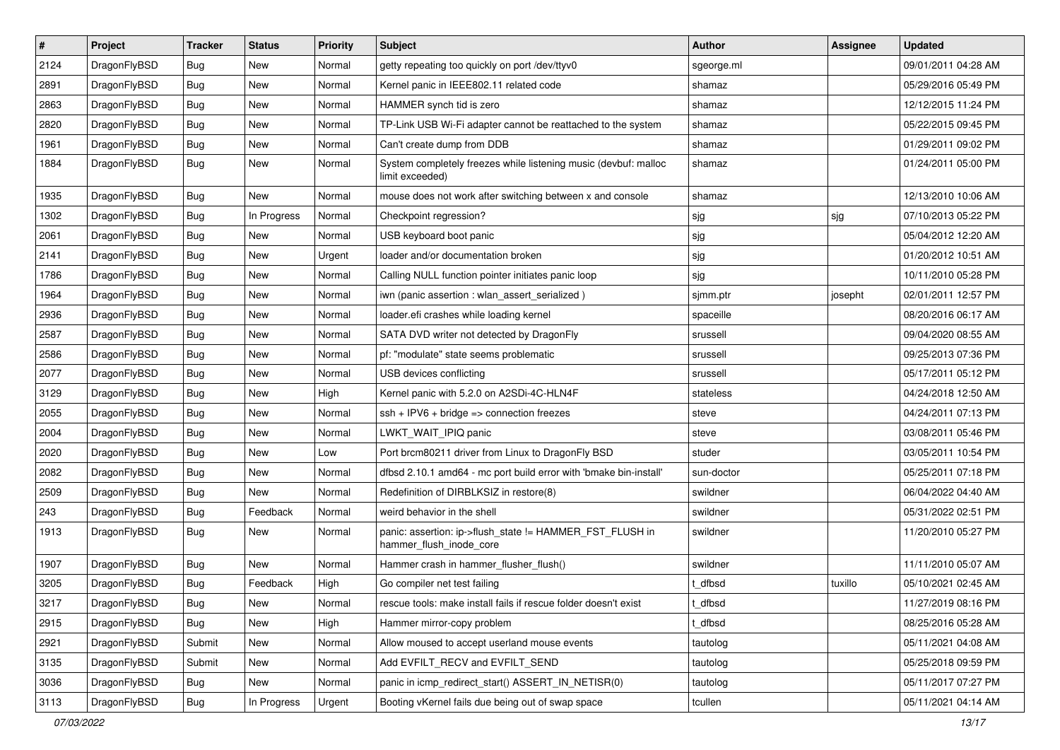| $\sharp$ | Project      | <b>Tracker</b> | <b>Status</b> | <b>Priority</b> | Subject                                                                             | <b>Author</b> | Assignee | <b>Updated</b>      |
|----------|--------------|----------------|---------------|-----------------|-------------------------------------------------------------------------------------|---------------|----------|---------------------|
| 2124     | DragonFlyBSD | Bug            | New           | Normal          | getty repeating too quickly on port /dev/ttyv0                                      | sgeorge.ml    |          | 09/01/2011 04:28 AM |
| 2891     | DragonFlyBSD | Bug            | New           | Normal          | Kernel panic in IEEE802.11 related code                                             | shamaz        |          | 05/29/2016 05:49 PM |
| 2863     | DragonFlyBSD | <b>Bug</b>     | <b>New</b>    | Normal          | HAMMER synch tid is zero                                                            | shamaz        |          | 12/12/2015 11:24 PM |
| 2820     | DragonFlyBSD | <b>Bug</b>     | New           | Normal          | TP-Link USB Wi-Fi adapter cannot be reattached to the system                        | shamaz        |          | 05/22/2015 09:45 PM |
| 1961     | DragonFlyBSD | Bug            | <b>New</b>    | Normal          | Can't create dump from DDB                                                          | shamaz        |          | 01/29/2011 09:02 PM |
| 1884     | DragonFlyBSD | Bug            | <b>New</b>    | Normal          | System completely freezes while listening music (devbuf: malloc<br>limit exceeded)  | shamaz        |          | 01/24/2011 05:00 PM |
| 1935     | DragonFlyBSD | Bug            | <b>New</b>    | Normal          | mouse does not work after switching between x and console                           | shamaz        |          | 12/13/2010 10:06 AM |
| 1302     | DragonFlyBSD | <b>Bug</b>     | In Progress   | Normal          | Checkpoint regression?                                                              | sjg           | sjg      | 07/10/2013 05:22 PM |
| 2061     | DragonFlyBSD | <b>Bug</b>     | <b>New</b>    | Normal          | USB keyboard boot panic                                                             | sjg           |          | 05/04/2012 12:20 AM |
| 2141     | DragonFlyBSD | <b>Bug</b>     | New           | Urgent          | loader and/or documentation broken                                                  | sjg           |          | 01/20/2012 10:51 AM |
| 1786     | DragonFlyBSD | Bug            | <b>New</b>    | Normal          | Calling NULL function pointer initiates panic loop                                  | sjg           |          | 10/11/2010 05:28 PM |
| 1964     | DragonFlyBSD | <b>Bug</b>     | <b>New</b>    | Normal          | iwn (panic assertion : wlan_assert_serialized)                                      | sjmm.ptr      | josepht  | 02/01/2011 12:57 PM |
| 2936     | DragonFlyBSD | <b>Bug</b>     | <b>New</b>    | Normal          | loader.efi crashes while loading kernel                                             | spaceille     |          | 08/20/2016 06:17 AM |
| 2587     | DragonFlyBSD | Bug            | New           | Normal          | SATA DVD writer not detected by DragonFly                                           | srussell      |          | 09/04/2020 08:55 AM |
| 2586     | DragonFlyBSD | <b>Bug</b>     | <b>New</b>    | Normal          | pf: "modulate" state seems problematic                                              | srussell      |          | 09/25/2013 07:36 PM |
| 2077     | DragonFlyBSD | Bug            | <b>New</b>    | Normal          | USB devices conflicting                                                             | srussell      |          | 05/17/2011 05:12 PM |
| 3129     | DragonFlyBSD | Bug            | <b>New</b>    | High            | Kernel panic with 5.2.0 on A2SDi-4C-HLN4F                                           | stateless     |          | 04/24/2018 12:50 AM |
| 2055     | DragonFlyBSD | Bug            | New           | Normal          | $ssh + IPV6 + bridge \Rightarrow connection freezes$                                | steve         |          | 04/24/2011 07:13 PM |
| 2004     | DragonFlyBSD | Bug            | <b>New</b>    | Normal          | LWKT_WAIT_IPIQ panic                                                                | steve         |          | 03/08/2011 05:46 PM |
| 2020     | DragonFlyBSD | <b>Bug</b>     | New           | Low             | Port brcm80211 driver from Linux to DragonFly BSD                                   | studer        |          | 03/05/2011 10:54 PM |
| 2082     | DragonFlyBSD | <b>Bug</b>     | <b>New</b>    | Normal          | dfbsd 2.10.1 amd64 - mc port build error with 'bmake bin-install'                   | sun-doctor    |          | 05/25/2011 07:18 PM |
| 2509     | DragonFlyBSD | Bug            | <b>New</b>    | Normal          | Redefinition of DIRBLKSIZ in restore(8)                                             | swildner      |          | 06/04/2022 04:40 AM |
| 243      | DragonFlyBSD | <b>Bug</b>     | Feedback      | Normal          | weird behavior in the shell                                                         | swildner      |          | 05/31/2022 02:51 PM |
| 1913     | DragonFlyBSD | Bug            | <b>New</b>    | Normal          | panic: assertion: ip->flush_state != HAMMER_FST_FLUSH in<br>hammer_flush_inode_core | swildner      |          | 11/20/2010 05:27 PM |
| 1907     | DragonFlyBSD | <b>Bug</b>     | New           | Normal          | Hammer crash in hammer_flusher_flush()                                              | swildner      |          | 11/11/2010 05:07 AM |
| 3205     | DragonFlyBSD | Bug            | Feedback      | High            | Go compiler net test failing                                                        | t dfbsd       | tuxillo  | 05/10/2021 02:45 AM |
| 3217     | DragonFlyBSD | <b>Bug</b>     | <b>New</b>    | Normal          | rescue tools: make install fails if rescue folder doesn't exist                     | t_dfbsd       |          | 11/27/2019 08:16 PM |
| 2915     | DragonFlyBSD | Bug            | <b>New</b>    | High            | Hammer mirror-copy problem                                                          | t_dfbsd       |          | 08/25/2016 05:28 AM |
| 2921     | DragonFlyBSD | Submit         | <b>New</b>    | Normal          | Allow moused to accept userland mouse events                                        | tautolog      |          | 05/11/2021 04:08 AM |
| 3135     | DragonFlyBSD | Submit         | New           | Normal          | Add EVFILT_RECV and EVFILT_SEND                                                     | tautolog      |          | 05/25/2018 09:59 PM |
| 3036     | DragonFlyBSD | <b>Bug</b>     | New           | Normal          | panic in icmp_redirect_start() ASSERT_IN_NETISR(0)                                  | tautolog      |          | 05/11/2017 07:27 PM |
| 3113     | DragonFlyBSD | <b>Bug</b>     | In Progress   | Urgent          | Booting vKernel fails due being out of swap space                                   | tcullen       |          | 05/11/2021 04:14 AM |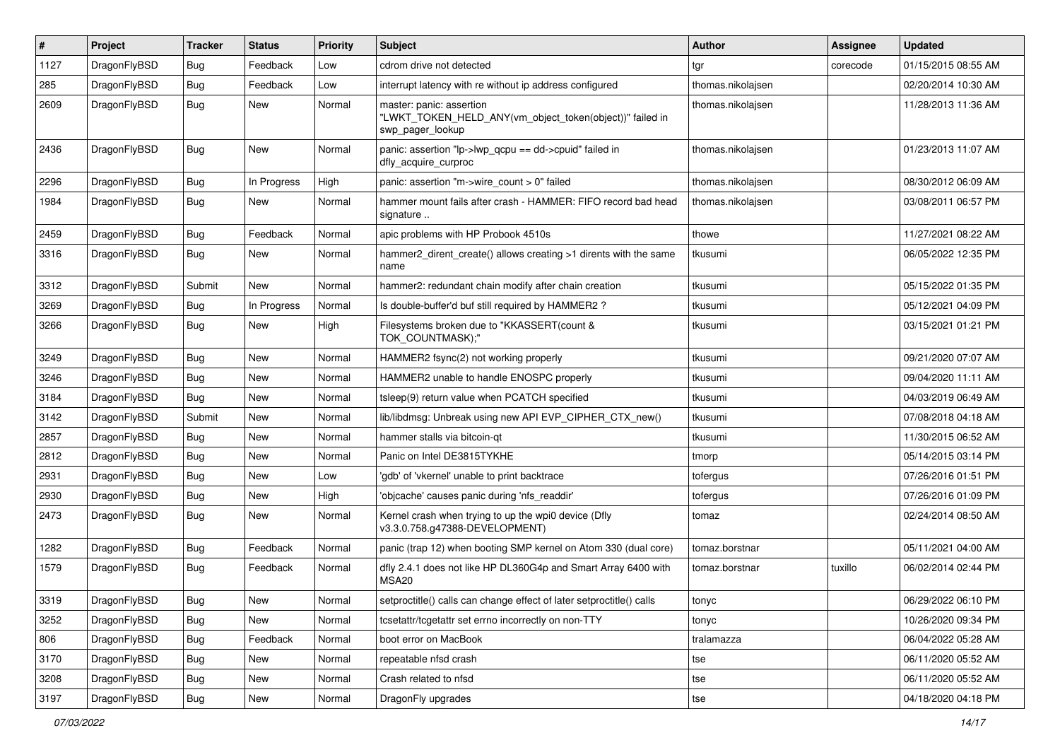| $\pmb{\#}$ | Project      | <b>Tracker</b> | <b>Status</b> | <b>Priority</b> | Subject                                                                                                  | <b>Author</b>     | Assignee | <b>Updated</b>      |
|------------|--------------|----------------|---------------|-----------------|----------------------------------------------------------------------------------------------------------|-------------------|----------|---------------------|
| 1127       | DragonFlyBSD | Bug            | Feedback      | Low             | cdrom drive not detected                                                                                 | tgr               | corecode | 01/15/2015 08:55 AM |
| 285        | DragonFlyBSD | Bug            | Feedback      | Low             | interrupt latency with re without ip address configured                                                  | thomas.nikolajsen |          | 02/20/2014 10:30 AM |
| 2609       | DragonFlyBSD | Bug            | New           | Normal          | master: panic: assertion<br>"LWKT TOKEN HELD ANY(vm object token(object))" failed in<br>swp_pager_lookup | thomas.nikolajsen |          | 11/28/2013 11:36 AM |
| 2436       | DragonFlyBSD | Bug            | New           | Normal          | panic: assertion "lp->lwp_qcpu == dd->cpuid" failed in<br>dfly acquire curproc                           | thomas.nikolajsen |          | 01/23/2013 11:07 AM |
| 2296       | DragonFlyBSD | Bug            | In Progress   | High            | panic: assertion "m->wire_count > 0" failed                                                              | thomas.nikolajsen |          | 08/30/2012 06:09 AM |
| 1984       | DragonFlyBSD | Bug            | New           | Normal          | hammer mount fails after crash - HAMMER: FIFO record bad head<br>signature                               | thomas.nikolajsen |          | 03/08/2011 06:57 PM |
| 2459       | DragonFlyBSD | <b>Bug</b>     | Feedback      | Normal          | apic problems with HP Probook 4510s                                                                      | thowe             |          | 11/27/2021 08:22 AM |
| 3316       | DragonFlyBSD | Bug            | New           | Normal          | hammer2_dirent_create() allows creating >1 dirents with the same<br>name                                 | tkusumi           |          | 06/05/2022 12:35 PM |
| 3312       | DragonFlyBSD | Submit         | New           | Normal          | hammer2: redundant chain modify after chain creation                                                     | tkusumi           |          | 05/15/2022 01:35 PM |
| 3269       | DragonFlyBSD | Bug            | In Progress   | Normal          | Is double-buffer'd buf still required by HAMMER2 ?                                                       | tkusumi           |          | 05/12/2021 04:09 PM |
| 3266       | DragonFlyBSD | Bug            | New           | High            | Filesystems broken due to "KKASSERT(count &<br>TOK COUNTMASK);"                                          | tkusumi           |          | 03/15/2021 01:21 PM |
| 3249       | DragonFlyBSD | Bug            | <b>New</b>    | Normal          | HAMMER2 fsync(2) not working properly                                                                    | tkusumi           |          | 09/21/2020 07:07 AM |
| 3246       | DragonFlyBSD | Bug            | New           | Normal          | HAMMER2 unable to handle ENOSPC properly                                                                 | tkusumi           |          | 09/04/2020 11:11 AM |
| 3184       | DragonFlyBSD | Bug            | <b>New</b>    | Normal          | tsleep(9) return value when PCATCH specified                                                             | tkusumi           |          | 04/03/2019 06:49 AM |
| 3142       | DragonFlyBSD | Submit         | New           | Normal          | lib/libdmsg: Unbreak using new API EVP_CIPHER_CTX_new()                                                  | tkusumi           |          | 07/08/2018 04:18 AM |
| 2857       | DragonFlyBSD | Bug            | New           | Normal          | hammer stalls via bitcoin-gt                                                                             | tkusumi           |          | 11/30/2015 06:52 AM |
| 2812       | DragonFlyBSD | <b>Bug</b>     | New           | Normal          | Panic on Intel DE3815TYKHE                                                                               | tmorp             |          | 05/14/2015 03:14 PM |
| 2931       | DragonFlyBSD | <b>Bug</b>     | New           | Low             | 'gdb' of 'vkernel' unable to print backtrace                                                             | tofergus          |          | 07/26/2016 01:51 PM |
| 2930       | DragonFlyBSD | Bug            | <b>New</b>    | High            | 'objcache' causes panic during 'nfs_readdir'                                                             | tofergus          |          | 07/26/2016 01:09 PM |
| 2473       | DragonFlyBSD | Bug            | New           | Normal          | Kernel crash when trying to up the wpi0 device (Dfly<br>v3.3.0.758.g47388-DEVELOPMENT)                   | tomaz             |          | 02/24/2014 08:50 AM |
| 1282       | DragonFlyBSD | Bug            | Feedback      | Normal          | panic (trap 12) when booting SMP kernel on Atom 330 (dual core)                                          | tomaz.borstnar    |          | 05/11/2021 04:00 AM |
| 1579       | DragonFlyBSD | Bug            | Feedback      | Normal          | dfly 2.4.1 does not like HP DL360G4p and Smart Array 6400 with<br>MSA <sub>20</sub>                      | tomaz.borstnar    | tuxillo  | 06/02/2014 02:44 PM |
| 3319       | DragonFlyBSD | Bug            | New           | Normal          | setproctitle() calls can change effect of later setproctitle() calls                                     | tonyc             |          | 06/29/2022 06:10 PM |
| 3252       | DragonFlyBSD | Bug            | New           | Normal          | tcsetattr/tcgetattr set errno incorrectly on non-TTY                                                     | tonyc             |          | 10/26/2020 09:34 PM |
| 806        | DragonFlyBSD | <b>Bug</b>     | Feedback      | Normal          | boot error on MacBook                                                                                    | tralamazza        |          | 06/04/2022 05:28 AM |
| 3170       | DragonFlyBSD | Bug            | New           | Normal          | repeatable nfsd crash                                                                                    | tse               |          | 06/11/2020 05:52 AM |
| 3208       | DragonFlyBSD | Bug            | New           | Normal          | Crash related to nfsd                                                                                    | tse               |          | 06/11/2020 05:52 AM |
| 3197       | DragonFlyBSD | Bug            | New           | Normal          | DragonFly upgrades                                                                                       | tse               |          | 04/18/2020 04:18 PM |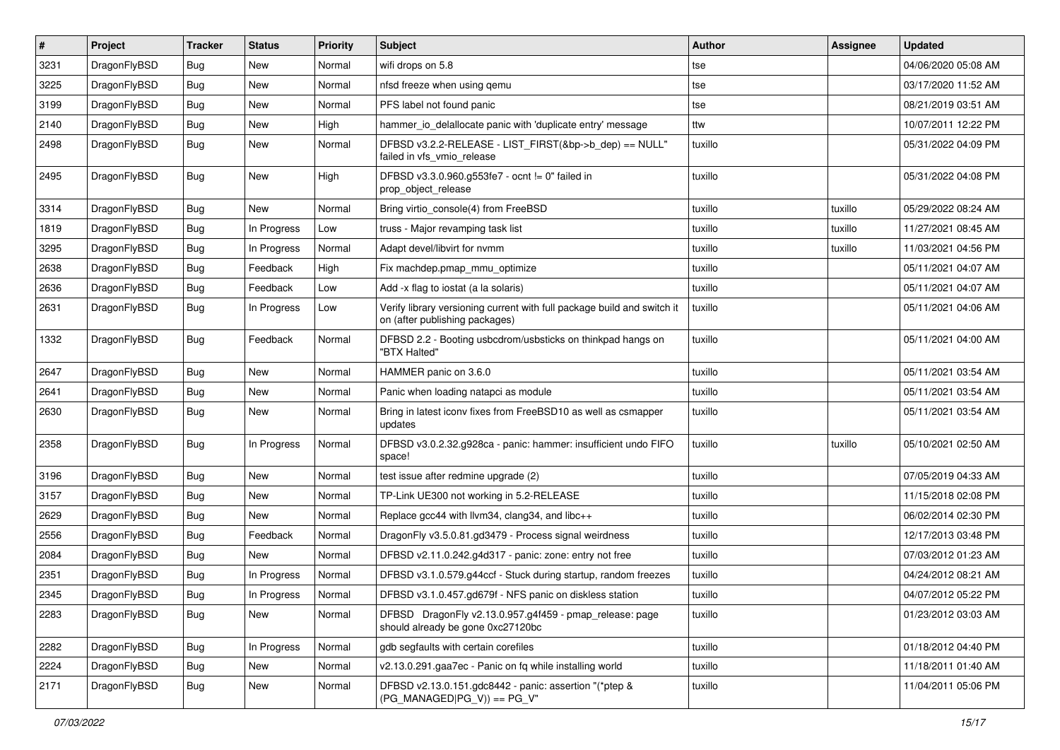| $\vert$ # | Project      | <b>Tracker</b> | <b>Status</b> | <b>Priority</b> | <b>Subject</b>                                                                                            | <b>Author</b> | Assignee | <b>Updated</b>      |
|-----------|--------------|----------------|---------------|-----------------|-----------------------------------------------------------------------------------------------------------|---------------|----------|---------------------|
| 3231      | DragonFlyBSD | Bug            | <b>New</b>    | Normal          | wifi drops on 5.8                                                                                         | tse           |          | 04/06/2020 05:08 AM |
| 3225      | DragonFlyBSD | <b>Bug</b>     | <b>New</b>    | Normal          | nfsd freeze when using qemu                                                                               | tse           |          | 03/17/2020 11:52 AM |
| 3199      | DragonFlyBSD | <b>Bug</b>     | <b>New</b>    | Normal          | PFS label not found panic                                                                                 | tse           |          | 08/21/2019 03:51 AM |
| 2140      | DragonFlyBSD | Bug            | <b>New</b>    | High            | hammer_io_delallocate panic with 'duplicate entry' message                                                | ttw           |          | 10/07/2011 12:22 PM |
| 2498      | DragonFlyBSD | Bug            | <b>New</b>    | Normal          | DFBSD v3.2.2-RELEASE - LIST_FIRST(&bp->b_dep) == NULL"<br>failed in vfs_vmio_release                      | tuxillo       |          | 05/31/2022 04:09 PM |
| 2495      | DragonFlyBSD | Bug            | <b>New</b>    | High            | DFBSD v3.3.0.960.g553fe7 - ocnt != 0" failed in<br>prop object release                                    | tuxillo       |          | 05/31/2022 04:08 PM |
| 3314      | DragonFlyBSD | Bug            | <b>New</b>    | Normal          | Bring virtio_console(4) from FreeBSD                                                                      | tuxillo       | tuxillo  | 05/29/2022 08:24 AM |
| 1819      | DragonFlyBSD | <b>Bug</b>     | In Progress   | Low             | truss - Major revamping task list                                                                         | tuxillo       | tuxillo  | 11/27/2021 08:45 AM |
| 3295      | DragonFlyBSD | <b>Bug</b>     | In Progress   | Normal          | Adapt devel/libvirt for nvmm                                                                              | tuxillo       | tuxillo  | 11/03/2021 04:56 PM |
| 2638      | DragonFlyBSD | Bug            | Feedback      | High            | Fix machdep.pmap_mmu_optimize                                                                             | tuxillo       |          | 05/11/2021 04:07 AM |
| 2636      | DragonFlyBSD | <b>Bug</b>     | Feedback      | Low             | Add -x flag to iostat (a la solaris)                                                                      | tuxillo       |          | 05/11/2021 04:07 AM |
| 2631      | DragonFlyBSD | Bug            | In Progress   | Low             | Verify library versioning current with full package build and switch it<br>on (after publishing packages) | tuxillo       |          | 05/11/2021 04:06 AM |
| 1332      | DragonFlyBSD | Bug            | Feedback      | Normal          | DFBSD 2.2 - Booting usbcdrom/usbsticks on thinkpad hangs on<br>"BTX Halted"                               | tuxillo       |          | 05/11/2021 04:00 AM |
| 2647      | DragonFlyBSD | Bug            | <b>New</b>    | Normal          | HAMMER panic on 3.6.0                                                                                     | tuxillo       |          | 05/11/2021 03:54 AM |
| 2641      | DragonFlyBSD | <b>Bug</b>     | <b>New</b>    | Normal          | Panic when loading natapci as module                                                                      | tuxillo       |          | 05/11/2021 03:54 AM |
| 2630      | DragonFlyBSD | Bug            | <b>New</b>    | Normal          | Bring in latest iconv fixes from FreeBSD10 as well as csmapper<br>updates                                 | tuxillo       |          | 05/11/2021 03:54 AM |
| 2358      | DragonFlyBSD | <b>Bug</b>     | In Progress   | Normal          | DFBSD v3.0.2.32.g928ca - panic: hammer: insufficient undo FIFO<br>space!                                  | tuxillo       | tuxillo  | 05/10/2021 02:50 AM |
| 3196      | DragonFlyBSD | Bug            | New           | Normal          | test issue after redmine upgrade (2)                                                                      | tuxillo       |          | 07/05/2019 04:33 AM |
| 3157      | DragonFlyBSD | <b>Bug</b>     | <b>New</b>    | Normal          | TP-Link UE300 not working in 5.2-RELEASE                                                                  | tuxillo       |          | 11/15/2018 02:08 PM |
| 2629      | DragonFlyBSD | <b>Bug</b>     | <b>New</b>    | Normal          | Replace gcc44 with llvm34, clang34, and libc++                                                            | tuxillo       |          | 06/02/2014 02:30 PM |
| 2556      | DragonFlyBSD | <b>Bug</b>     | Feedback      | Normal          | DragonFly v3.5.0.81.gd3479 - Process signal weirdness                                                     | tuxillo       |          | 12/17/2013 03:48 PM |
| 2084      | DragonFlyBSD | Bug            | New           | Normal          | DFBSD v2.11.0.242.g4d317 - panic: zone: entry not free                                                    | tuxillo       |          | 07/03/2012 01:23 AM |
| 2351      | DragonFlyBSD | <b>Bug</b>     | In Progress   | Normal          | DFBSD v3.1.0.579.g44ccf - Stuck during startup, random freezes                                            | tuxillo       |          | 04/24/2012 08:21 AM |
| 2345      | DragonFlyBSD | Bug            | In Progress   | Normal          | DFBSD v3.1.0.457.gd679f - NFS panic on diskless station                                                   | tuxillo       |          | 04/07/2012 05:22 PM |
| 2283      | DragonFlyBSD | Bug            | New           | Normal          | DFBSD DragonFly v2.13.0.957.g4f459 - pmap_release: page<br>should already be gone 0xc27120bc              | tuxillo       |          | 01/23/2012 03:03 AM |
| 2282      | DragonFlyBSD | <b>Bug</b>     | In Progress   | Normal          | gdb segfaults with certain corefiles                                                                      | tuxillo       |          | 01/18/2012 04:40 PM |
| 2224      | DragonFlyBSD | Bug            | New           | Normal          | v2.13.0.291.gaa7ec - Panic on fq while installing world                                                   | tuxillo       |          | 11/18/2011 01:40 AM |
| 2171      | DragonFlyBSD | <b>Bug</b>     | New           | Normal          | DFBSD v2.13.0.151.gdc8442 - panic: assertion "(*ptep &<br>$(PG_MANAGED PG_V)) == PG_V"$                   | tuxillo       |          | 11/04/2011 05:06 PM |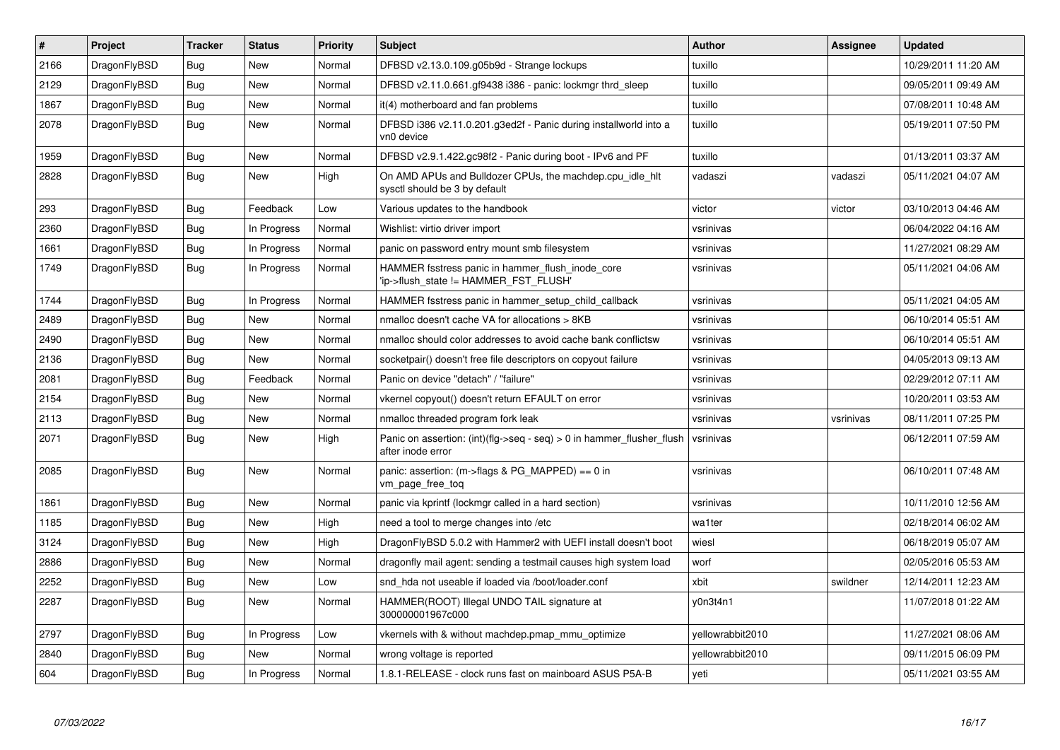| #    | Project      | <b>Tracker</b> | <b>Status</b> | Priority | <b>Subject</b>                                                                             | <b>Author</b>    | Assignee  | <b>Updated</b>      |
|------|--------------|----------------|---------------|----------|--------------------------------------------------------------------------------------------|------------------|-----------|---------------------|
| 2166 | DragonFlyBSD | <b>Bug</b>     | <b>New</b>    | Normal   | DFBSD v2.13.0.109.g05b9d - Strange lockups                                                 | tuxillo          |           | 10/29/2011 11:20 AM |
| 2129 | DragonFlyBSD | Bug            | <b>New</b>    | Normal   | DFBSD v2.11.0.661.gf9438 i386 - panic: lockmgr thrd sleep                                  | tuxillo          |           | 09/05/2011 09:49 AM |
| 1867 | DragonFlyBSD | Bug            | <b>New</b>    | Normal   | it(4) motherboard and fan problems                                                         | tuxillo          |           | 07/08/2011 10:48 AM |
| 2078 | DragonFlyBSD | Bug            | New           | Normal   | DFBSD i386 v2.11.0.201.g3ed2f - Panic during installworld into a<br>vn0 device             | tuxillo          |           | 05/19/2011 07:50 PM |
| 1959 | DragonFlyBSD | Bug            | <b>New</b>    | Normal   | DFBSD v2.9.1.422.gc98f2 - Panic during boot - IPv6 and PF                                  | tuxillo          |           | 01/13/2011 03:37 AM |
| 2828 | DragonFlyBSD | <b>Bug</b>     | <b>New</b>    | High     | On AMD APUs and Bulldozer CPUs, the machdep.cpu idle hit<br>sysctl should be 3 by default  | vadaszi          | vadaszi   | 05/11/2021 04:07 AM |
| 293  | DragonFlyBSD | <b>Bug</b>     | Feedback      | Low      | Various updates to the handbook                                                            | victor           | victor    | 03/10/2013 04:46 AM |
| 2360 | DragonFlyBSD | Bug            | In Progress   | Normal   | Wishlist: virtio driver import                                                             | vsrinivas        |           | 06/04/2022 04:16 AM |
| 1661 | DragonFlyBSD | <b>Bug</b>     | In Progress   | Normal   | panic on password entry mount smb filesystem                                               | vsrinivas        |           | 11/27/2021 08:29 AM |
| 1749 | DragonFlyBSD | <b>Bug</b>     | In Progress   | Normal   | HAMMER fsstress panic in hammer flush inode core<br>'ip->flush state != HAMMER FST FLUSH'  | vsrinivas        |           | 05/11/2021 04:06 AM |
| 1744 | DragonFlyBSD | Bug            | In Progress   | Normal   | HAMMER fsstress panic in hammer setup child callback                                       | vsrinivas        |           | 05/11/2021 04:05 AM |
| 2489 | DragonFlyBSD | Bug            | <b>New</b>    | Normal   | nmalloc doesn't cache VA for allocations > 8KB                                             | vsrinivas        |           | 06/10/2014 05:51 AM |
| 2490 | DragonFlyBSD | <b>Bug</b>     | New           | Normal   | nmalloc should color addresses to avoid cache bank conflictsw                              | vsrinivas        |           | 06/10/2014 05:51 AM |
| 2136 | DragonFlyBSD | Bug            | New           | Normal   | socketpair() doesn't free file descriptors on copyout failure                              | vsrinivas        |           | 04/05/2013 09:13 AM |
| 2081 | DragonFlyBSD | <b>Bug</b>     | Feedback      | Normal   | Panic on device "detach" / "failure"                                                       | vsrinivas        |           | 02/29/2012 07:11 AM |
| 2154 | DragonFlyBSD | Bug            | <b>New</b>    | Normal   | vkernel copyout() doesn't return EFAULT on error                                           | vsrinivas        |           | 10/20/2011 03:53 AM |
| 2113 | DragonFlyBSD | <b>Bug</b>     | New           | Normal   | nmalloc threaded program fork leak                                                         | vsrinivas        | vsrinivas | 08/11/2011 07:25 PM |
| 2071 | DragonFlyBSD | Bug            | New           | High     | Panic on assertion: (int)(flg->seq - seq) > 0 in hammer flusher flush<br>after inode error | vsrinivas        |           | 06/12/2011 07:59 AM |
| 2085 | DragonFlyBSD | Bug            | New           | Normal   | panic: assertion: $(m\rightarrow$ flags & PG MAPPED) == 0 in<br>vm_page_free_toq           | vsrinivas        |           | 06/10/2011 07:48 AM |
| 1861 | DragonFlyBSD | Bug            | New           | Normal   | panic via kprintf (lockmgr called in a hard section)                                       | vsrinivas        |           | 10/11/2010 12:56 AM |
| 1185 | DragonFlyBSD | Bug            | <b>New</b>    | High     | need a tool to merge changes into /etc                                                     | wa1ter           |           | 02/18/2014 06:02 AM |
| 3124 | DragonFlyBSD | Bug            | New           | High     | DragonFlyBSD 5.0.2 with Hammer2 with UEFI install doesn't boot                             | wiesl            |           | 06/18/2019 05:07 AM |
| 2886 | DragonFlyBSD | <b>Bug</b>     | New           | Normal   | dragonfly mail agent: sending a testmail causes high system load                           | worf             |           | 02/05/2016 05:53 AM |
| 2252 | DragonFlyBSD | Bug            | New           | Low      | snd hda not useable if loaded via /boot/loader.conf                                        | xbit             | swildner  | 12/14/2011 12:23 AM |
| 2287 | DragonFlyBSD | Bug            | New           | Normal   | HAMMER(ROOT) Illegal UNDO TAIL signature at<br>300000001967c000                            | y0n3t4n1         |           | 11/07/2018 01:22 AM |
| 2797 | DragonFlyBSD | <b>Bug</b>     | In Progress   | Low      | vkernels with & without machdep.pmap_mmu_optimize                                          | yellowrabbit2010 |           | 11/27/2021 08:06 AM |
| 2840 | DragonFlyBSD | Bug            | New           | Normal   | wrong voltage is reported                                                                  | vellowrabbit2010 |           | 09/11/2015 06:09 PM |
| 604  | DragonFlyBSD | Bug            | In Progress   | Normal   | 1.8.1-RELEASE - clock runs fast on mainboard ASUS P5A-B                                    | yeti             |           | 05/11/2021 03:55 AM |